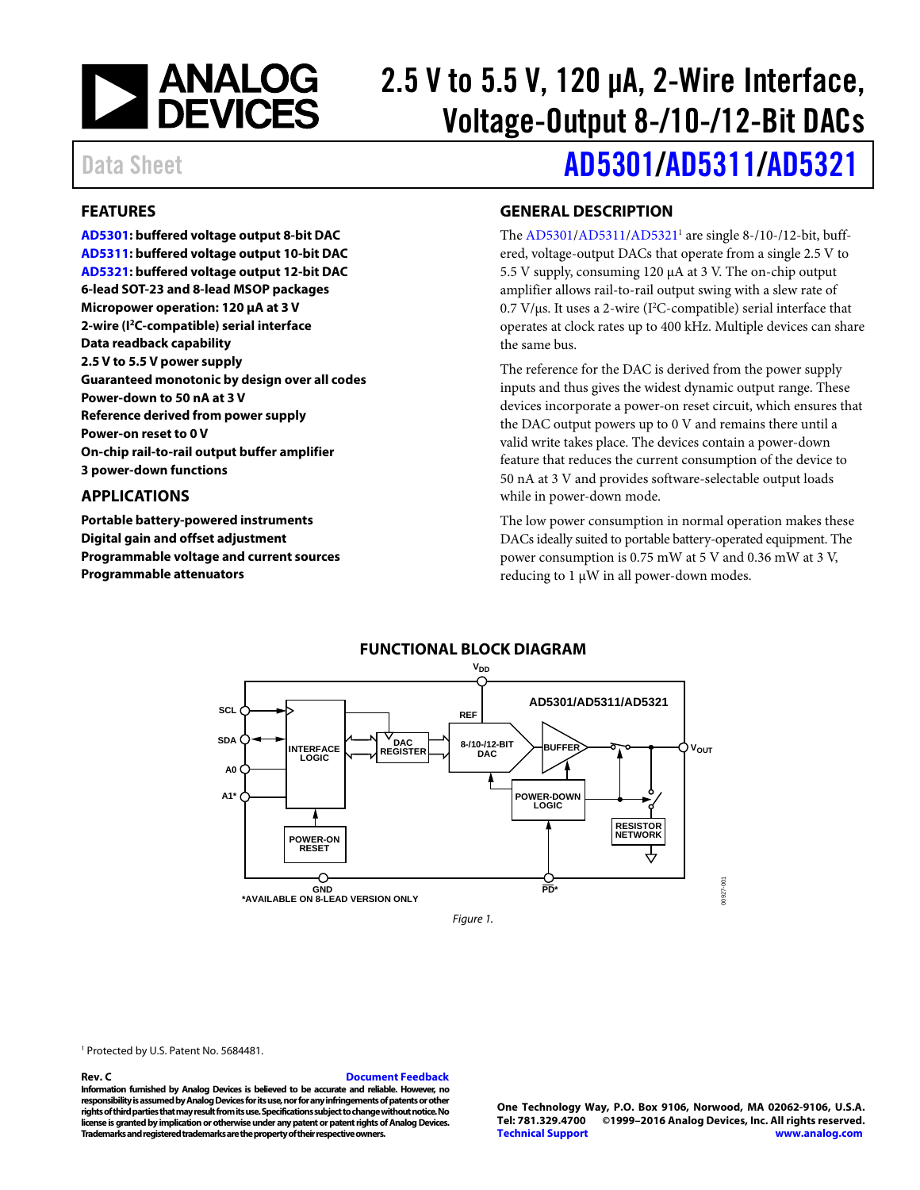

# 2.5 V to 5.5 V, 120 μA, 2-Wire Interface, Voltage-Output 8-/10-/12-Bit DACs

### <span id="page-0-0"></span>**FEATURES**

**[AD5301:](http://www.analog.com/AD5301?doc=AD5301_5311_5321.pdf) buffered voltage output 8-bit DAC [AD5311:](http://www.analog.com/AD5311?doc=AD5301_5311_5321.pdf) buffered voltage output 10-bit DAC [AD5321:](http://www.analog.com/AD5321?doc=AD5301_5311_5321.pdf) buffered voltage output 12-bit DAC 6-lead SOT-23 and 8-lead MSOP packages Micropower operation: 120 μA at 3 V 2-wire (I2C-compatible) serial interface Data readback capability 2.5 V to 5.5 V power supply Guaranteed monotonic by design over all codes Power-down to 50 nA at 3 V Reference derived from power supply Power-on reset to 0 V On-chip rail-to-rail output buffer amplifier 3 power-down functions**

### <span id="page-0-1"></span>**APPLICATIONS**

**Portable battery-powered instruments Digital gain and offset adjustment Programmable voltage and current sources Programmable attenuators**

# Data Sheet **[AD5301](http://www.analog.com/AD5301?doc=AD5301_5311_5321.pdf)[/AD5311](http://www.analog.com/AD5311?doc=AD5301_5311_5321.pdf)[/AD5321](http://www.analog.com/AD5321?doc=AD5301_5311_5321.pdf)**

### <span id="page-0-2"></span>**GENERAL DESCRIPTION**

The [AD5301/](http://www.analog.com/AD5301?doc=AD5301_5311_5321.pdf)[AD5311/](http://www.analog.com/AD5311?doc=AD5301_5311_5321.pdf)AD5321<sup>1</sup> are single 8-/10-/12-bit, buffered, voltage-output DACs that operate from a single 2.5 V to 5.5 V supply, consuming 120 μA at 3 V. The on-chip output amplifier allows rail-to-rail output swing with a slew rate of  $0.7 \text{ V/}\mu\text{s}$ . It uses a 2-wire (I<sup>2</sup>C-compatible) serial interface that operates at clock rates up to 400 kHz. Multiple devices can share the same bus.

The reference for the DAC is derived from the power supply inputs and thus gives the widest dynamic output range. These devices incorporate a power-on reset circuit, which ensures that the DAC output powers up to 0 V and remains there until a valid write takes place. The devices contain a power-down feature that reduces the current consumption of the device to 50 nA at 3 V and provides software-selectable output loads while in power-down mode.

The low power consumption in normal operation makes these DACs ideally suited to portable battery-operated equipment. The power consumption is 0.75 mW at 5 V and 0.36 mW at 3 V, reducing to 1 μW in all power-down modes.

<span id="page-0-3"></span>

<sup>1</sup> Protected by U.S. Patent No. 5684481.

#### **Rev. C [Document Feedback](https://form.analog.com/Form_Pages/feedback/documentfeedback.aspx?doc=AD5301_5311_5321.pdf&product=AD5301%20AD5311%20AD5321&rev=C)**

**Information furnished by Analog Devices is believed to be accurate and reliable. However, no responsibility is assumed by Analog Devices for its use, nor for any infringements of patents or other rights of third parties that may result from its use. Specifications subject to change without notice. No license is granted by implication or otherwise under any patent or patent rights of Analog Devices. Trademarks and registered trademarks are the property of their respective owners.**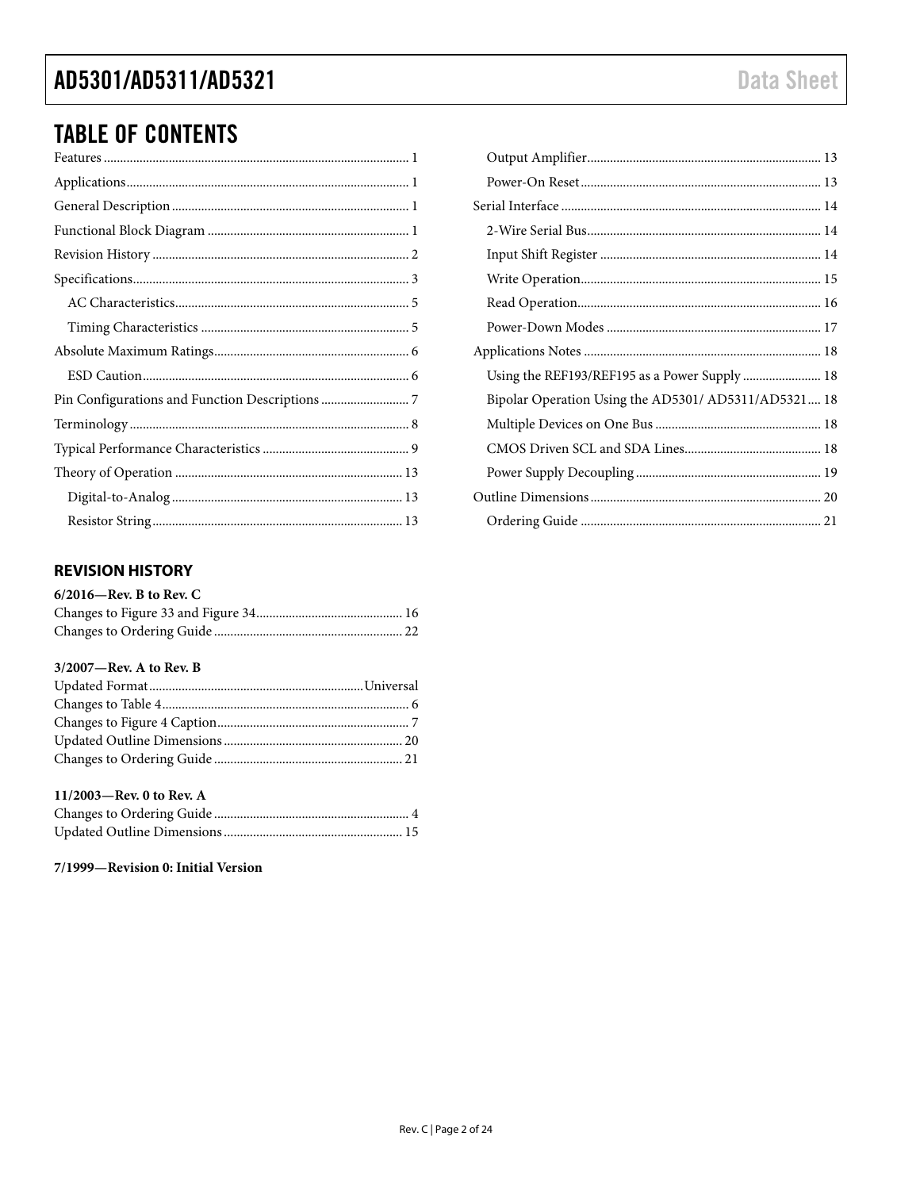# AD5301/AD5311/AD5321

# **TABLE OF CONTENTS**

### <span id="page-1-0"></span>**REVISION HISTORY**

| $6/2016$ —Rev. B to Rev. C |  |
|----------------------------|--|
|                            |  |
|                            |  |

#### 3/2007-Rev. A to Rev. B

### 11/2003-Rev. 0 to Rev. A

### 7/1999-Revision 0: Initial Version

| Using the REF193/REF195 as a Power Supply  18        |  |
|------------------------------------------------------|--|
| Bipolar Operation Using the AD5301/ AD5311/AD5321 18 |  |
|                                                      |  |
|                                                      |  |
|                                                      |  |
|                                                      |  |
|                                                      |  |
|                                                      |  |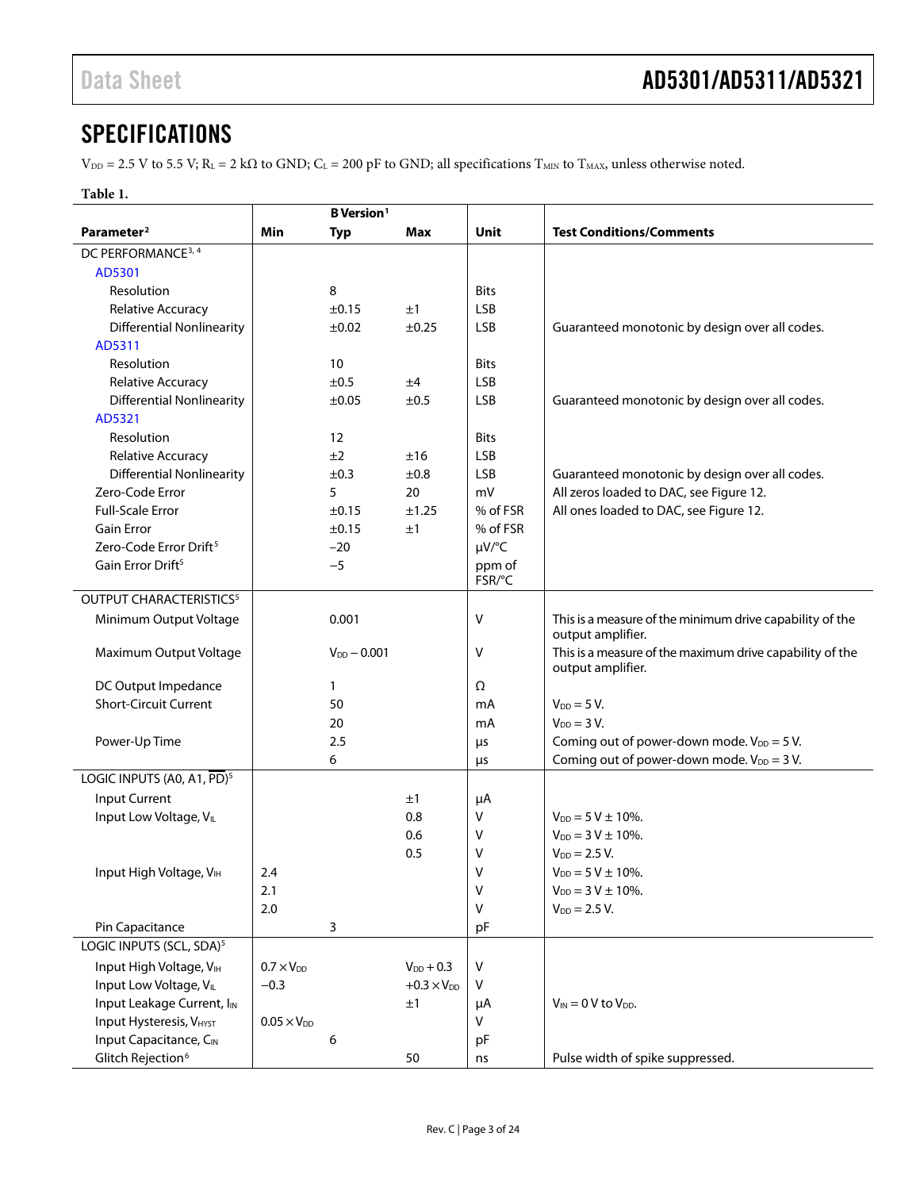# <span id="page-2-0"></span>**SPECIFICATIONS**

 $V_{\text{DD}} = 2.5$  V to 5.5 V; R<sub>L</sub> = 2 kΩ to GND; C<sub>L</sub> = 200 pF to GND; all specifications T<sub>MIN</sub> to T<sub>MAX</sub>, unless otherwise noted.

### **Table 1.**

|                                        | <b>B</b> Version <sup>1</sup> |                  |                      |             |                                                                               |
|----------------------------------------|-------------------------------|------------------|----------------------|-------------|-------------------------------------------------------------------------------|
| Parameter <sup>2</sup>                 | Min                           | <b>Typ</b>       | Max                  | Unit        | <b>Test Conditions/Comments</b>                                               |
| DC PERFORMANCE <sup>3, 4</sup>         |                               |                  |                      |             |                                                                               |
| AD5301                                 |                               |                  |                      |             |                                                                               |
| Resolution                             |                               | 8                |                      | <b>Bits</b> |                                                                               |
| Relative Accuracy                      |                               | $\pm 0.15$       | ±1                   | <b>LSB</b>  |                                                                               |
| <b>Differential Nonlinearity</b>       |                               | $\pm 0.02$       | ±0.25                | <b>LSB</b>  | Guaranteed monotonic by design over all codes.                                |
| AD5311                                 |                               |                  |                      |             |                                                                               |
| Resolution                             |                               | 10               |                      | <b>Bits</b> |                                                                               |
| Relative Accuracy                      |                               | ±0.5             | ±4                   | <b>LSB</b>  |                                                                               |
| <b>Differential Nonlinearity</b>       |                               | ±0.05            | ±0.5                 | <b>LSB</b>  | Guaranteed monotonic by design over all codes.                                |
| AD5321                                 |                               |                  |                      |             |                                                                               |
| Resolution                             |                               | 12               |                      | <b>Bits</b> |                                                                               |
| Relative Accuracy                      |                               | ±2               | ±16                  | <b>LSB</b>  |                                                                               |
| <b>Differential Nonlinearity</b>       |                               | ±0.3             | ±0.8                 | <b>LSB</b>  | Guaranteed monotonic by design over all codes.                                |
| Zero-Code Error                        |                               | 5                | 20                   | mV          | All zeros loaded to DAC, see Figure 12.                                       |
| <b>Full-Scale Error</b>                |                               | ±0.15            | ±1.25                | % of FSR    | All ones loaded to DAC, see Figure 12.                                        |
| <b>Gain Error</b>                      |                               | ±0.15            | ±1                   | % of FSR    |                                                                               |
| Zero-Code Error Drift <sup>5</sup>     |                               | $-20$            |                      | µV/°C       |                                                                               |
| Gain Error Drift <sup>5</sup>          |                               | $-5$             |                      | ppm of      |                                                                               |
|                                        |                               |                  |                      | FSR/°C      |                                                                               |
| OUTPUT CHARACTERISTICS <sup>5</sup>    |                               |                  |                      |             |                                                                               |
| Minimum Output Voltage                 |                               | 0.001            |                      | V           | This is a measure of the minimum drive capability of the<br>output amplifier. |
| Maximum Output Voltage                 |                               | $V_{DD} - 0.001$ |                      | V           | This is a measure of the maximum drive capability of the<br>output amplifier. |
| DC Output Impedance                    |                               | 1                |                      | Ω           |                                                                               |
| <b>Short-Circuit Current</b>           |                               | 50               |                      | mA          | $V_{DD} = 5 V$ .                                                              |
|                                        |                               | 20               |                      | mA          | $V_{DD} = 3 V.$                                                               |
| Power-Up Time                          |                               | 2.5              |                      | μs          | Coming out of power-down mode. $V_{DD} = 5 V$ .                               |
|                                        |                               | 6                |                      | μs          | Coming out of power-down mode. $V_{DD} = 3 V$ .                               |
| LOGIC INPUTS (A0, A1, PD) <sup>5</sup> |                               |                  |                      |             |                                                                               |
| Input Current                          |                               |                  | ±1                   | μA          |                                                                               |
| Input Low Voltage, VIL                 |                               |                  | 0.8                  | V           | $V_{DD} = 5 V \pm 10\%$ .                                                     |
|                                        |                               |                  | 0.6                  | V           | $V_{DD} = 3 V \pm 10\%$ .                                                     |
|                                        |                               |                  | 0.5                  | V           | $V_{DD} = 2.5 V.$                                                             |
| Input High Voltage, VIH                | 2.4                           |                  |                      | v           | $V_{DD} = 5 V \pm 10\%$ .                                                     |
|                                        | 2.1                           |                  |                      | ٧           | $V_{DD} = 3 V \pm 10\%$ .                                                     |
|                                        | 2.0                           |                  |                      | v           | $V_{DD} = 2.5 V.$                                                             |
| Pin Capacitance                        |                               | 3                |                      | pF          |                                                                               |
| LOGIC INPUTS (SCL, SDA) <sup>5</sup>   |                               |                  |                      |             |                                                                               |
| Input High Voltage, VIH                | $0.7 \times V_{DD}$           |                  | $V_{DD} + 0.3$       | V           |                                                                               |
| Input Low Voltage, VL                  | $-0.3$                        |                  | $+0.3 \times V_{DD}$ | V           |                                                                               |
| Input Leakage Current, IIN             |                               |                  | ±1                   | μA          | $V_{IN} = 0 V$ to $V_{DD}$ .                                                  |
| <b>Input Hysteresis, VHYST</b>         | $0.05 \times V_{DD}$          |                  |                      | V           |                                                                               |
| Input Capacitance, CIN                 |                               | 6                |                      | pF          |                                                                               |
| Glitch Rejection <sup>6</sup>          |                               |                  | 50                   | ns          | Pulse width of spike suppressed.                                              |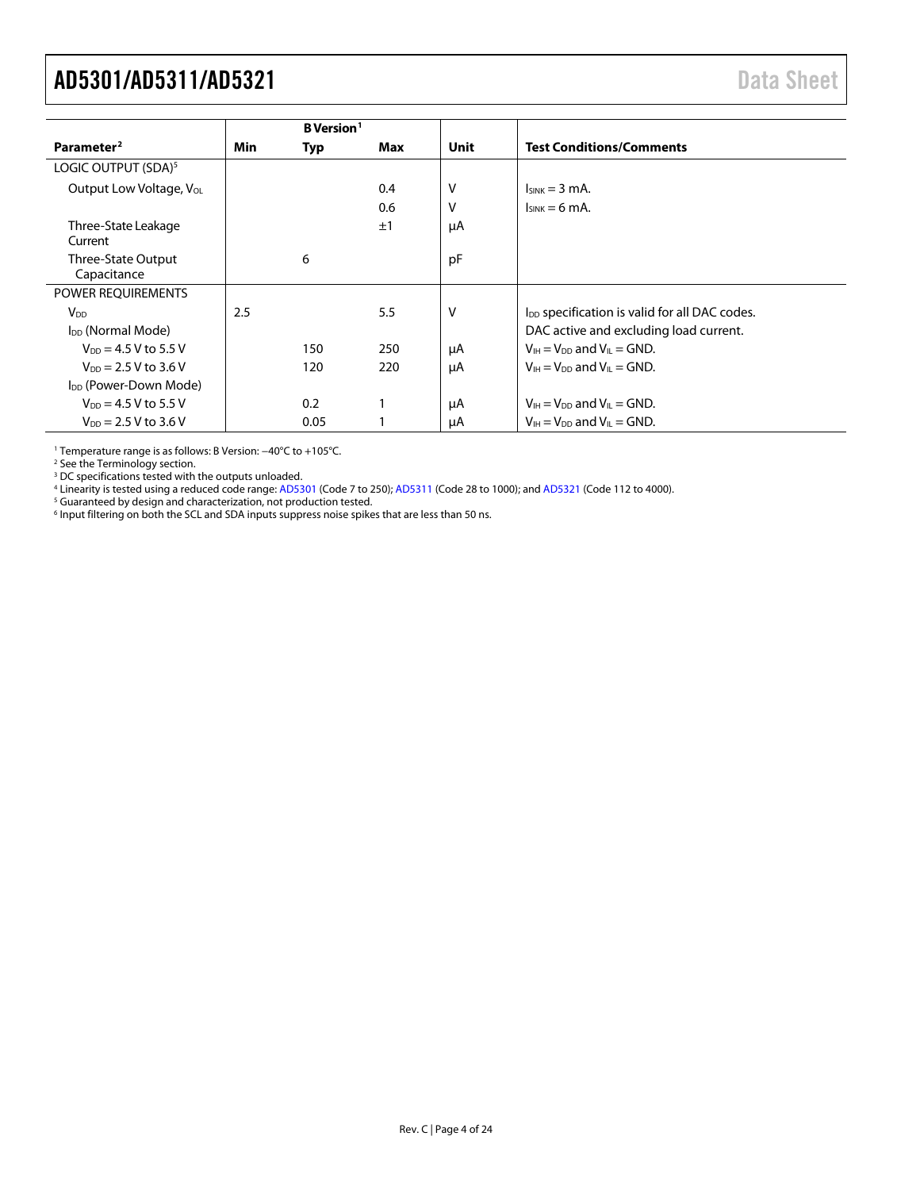<span id="page-3-0"></span>

|                                   |     | <b>B</b> Version <sup>1</sup> |     |      |                                                                    |
|-----------------------------------|-----|-------------------------------|-----|------|--------------------------------------------------------------------|
| Parameter <sup>2</sup>            | Min | Typ                           | Max | Unit | <b>Test Conditions/Comments</b>                                    |
| LOGIC OUTPUT (SDA) <sup>5</sup>   |     |                               |     |      |                                                                    |
| Output Low Voltage, Vol.          |     |                               | 0.4 | ۷    | $lsink = 3 mA$ .                                                   |
|                                   |     |                               | 0.6 | v    | $I_{SINK} = 6 mA$ .                                                |
| Three-State Leakage<br>Current    |     |                               | ±1  | μA   |                                                                    |
| Three-State Output<br>Capacitance |     | 6                             |     | pF   |                                                                    |
| POWER REQUIREMENTS                |     |                               |     |      |                                                                    |
| $V_{DD}$                          | 2.5 |                               | 5.5 | ٧    | I <sub>DD</sub> specification is valid for all DAC codes.          |
| I <sub>DD</sub> (Normal Mode)     |     |                               |     |      | DAC active and excluding load current.                             |
| $V_{DD} = 4.5 V$ to 5.5 V         |     | 150                           | 250 | μA   | $V_{IH} = V_{DD}$ and $V_{IL} = GND$ .                             |
| $V_{DD} = 2.5 V$ to 3.6 V         |     | 120                           | 220 | μA   | $V_{\text{IH}} = V_{\text{DD}}$ and $V_{\text{II}} = \text{GND}$ . |
| I <sub>DD</sub> (Power-Down Mode) |     |                               |     |      |                                                                    |
| $V_{DD} = 4.5 V$ to 5.5 V         |     | 0.2                           |     | μA   | $V_{IH} = V_{DD}$ and $V_{IL} = GND$ .                             |
| $V_{DD} = 2.5 V$ to 3.6 V         |     | 0.05                          |     | μA   | $V_{IH} = V_{DD}$ and $V_{IL} = GND$ .                             |

<sup>1</sup> Temperature range is as follows: B Version: −40°C to +105°C.

<sup>2</sup> See th[e Terminology](#page-7-0) section.

<sup>3</sup> DC specifications tested with the outputs unloaded.

<sup>4</sup> Linearity is tested using a reduced code range[: AD5301](http://www.analog.com/AD5301?doc=AD5301_5311_5321.pdf) (Code 7 to 250)[; AD5311](http://www.analog.com/AD5311?doc=AD5301_5311_5321.pdf) (Code 28 to 1000); an[d AD5321](http://www.analog.com/AD5321?doc=AD5301_5311_5321.pdf) (Code 112 to 4000).

<sup>5</sup> Guaranteed by design and characterization, not production tested.

 $^6$  Input filtering on both the SCL and SDA inputs suppress noise spikes that are less than 50 ns.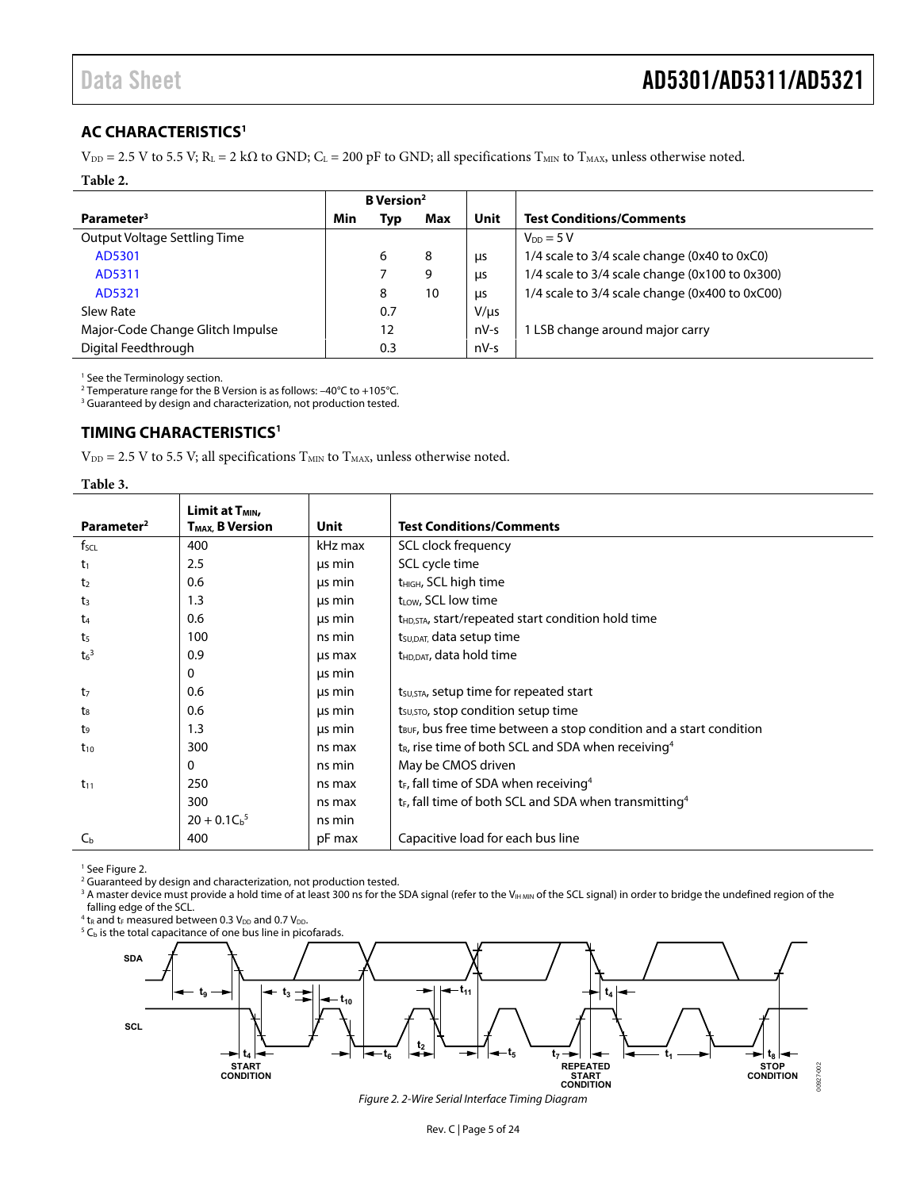### <span id="page-4-0"></span>**AC CHARACTERISTICS1**

 $V_{DD} = 2.5$  V to 5.5 V; R<sub>L</sub> = 2 k $\Omega$  to GND; C<sub>L</sub> = 200 pF to GND; all specifications T<sub>MIN</sub> to T<sub>MAX</sub>, unless otherwise noted.

#### **Table 2.**

|                                  | <b>B</b> Version <sup>2</sup> |     |     |            |                                                |
|----------------------------------|-------------------------------|-----|-----|------------|------------------------------------------------|
| Parameter <sup>3</sup>           | Min                           | Тур | Max | Unit       | <b>Test Conditions/Comments</b>                |
| Output Voltage Settling Time     |                               |     |     |            | $V_{DD} = 5 V$                                 |
| AD5301                           |                               | 6   | 8   | μs         | 1/4 scale to 3/4 scale change (0x40 to 0xC0)   |
| AD5311                           |                               |     | 9   | <b>LIS</b> | 1/4 scale to 3/4 scale change (0x100 to 0x300) |
| AD5321                           |                               | 8   | 10  | μs         | 1/4 scale to 3/4 scale change (0x400 to 0xC00) |
| Slew Rate                        |                               | 0.7 |     | $V/\mu s$  |                                                |
| Major-Code Change Glitch Impulse |                               | 12  |     | nV-s       | LSB change around major carry                  |
| Digital Feedthrough              |                               | 0.3 |     | $nV-s$     |                                                |

1 See th[e Terminology s](#page-7-0)ection.

 $^2$  Temperature range for the B Version is as follows: –40°C to +105°C.<br><sup>3</sup> Guaranteed by design and characterization, not production tested.

<span id="page-4-1"></span><sup>3</sup> Guaranteed by design and characterization, not production tested.

### **TIMING CHARACTERISTICS1**

 $\mathrm{V_{\textrm{DD}}}=2.5~\mathrm{V}$  to 5.5 V; all specifications  $\mathrm{T_{MIN}}$  to  $\mathrm{T_{MAX}}$  unless otherwise noted.

#### **Table 3.**

| Parameter <sup>2</sup> | Limit at T <sub>MIN</sub><br>T <sub>MAX</sub> , B Version | Unit    | <b>Test Conditions/Comments</b>                                                 |
|------------------------|-----------------------------------------------------------|---------|---------------------------------------------------------------------------------|
| $f_{\mathsf{SCL}}$     | 400                                                       | kHz max | SCL clock frequency                                                             |
| t1                     | 2.5                                                       | us min  | SCL cycle time                                                                  |
| t <sub>2</sub>         | 0.6                                                       | us min  | t <sub>HIGH</sub> , SCL high time                                               |
| t3                     | 1.3                                                       | us min  | t <sub>LOW</sub> , SCL low time                                                 |
| t4                     | 0.6                                                       | us min  | $t_{HD,STA}$ , start/repeated start condition hold time                         |
| t5                     | 100                                                       | ns min  | t <sub>su, DAT</sub> , data setup time                                          |
| $t6$ <sup>3</sup>      | 0.9                                                       | us max  | t <sub>HD.DAT</sub> , data hold time                                            |
|                        | $\mathbf{0}$                                              | us min  |                                                                                 |
| t <sub>7</sub>         | 0.6                                                       | us min  | tsu, sra, setup time for repeated start                                         |
| t.                     | 0.6                                                       | us min  | t <sub>su, STO</sub> , stop condition setup time                                |
| t9                     | 1.3                                                       | us min  | t <sub>BUF</sub> , bus free time between a stop condition and a start condition |
| $t_{10}$               | 300                                                       | ns max  | $t_R$ , rise time of both SCL and SDA when receiving <sup>4</sup>               |
|                        | $\mathbf{0}$                                              | ns min  | May be CMOS driven                                                              |
| $t_{11}$               | 250                                                       | ns max  | t <sub>F</sub> , fall time of SDA when receiving <sup>4</sup>                   |
|                        | 300                                                       | ns max  | t <sub>F</sub> , fall time of both SCL and SDA when transmitting <sup>4</sup>   |
|                        | $20 + 0.1Cb5$                                             | ns min  |                                                                                 |
| $C_{\rm b}$            | 400                                                       | pF max  | Capacitive load for each bus line                                               |

1 Se[e Figure 2.](#page-4-2) 

<sup>2</sup> Guaranteed by design and characterization, not production tested.

 $^3$  A master device must provide a hold time of at least 300 ns for the SDA signal (refer to the V $_{\sf{HMMN}}$  of the SCL signal) in order to bridge the undefined region of the falling edge of the SCL.

<sup>4</sup> t<sub>R</sub> and t<sub>F</sub> measured between 0.3  $V_{DD}$  and 0.7  $V_{DD}$ .

 $^4$  t<sub>R</sub> and t<sub>F</sub> measured between 0.3 V<sub>DD</sub> and 0.7 V<sub>DD</sub>.<br><sup>5</sup> C<sub>b</sub> is the total capacitance of one bus line in picofarads.

<span id="page-4-2"></span>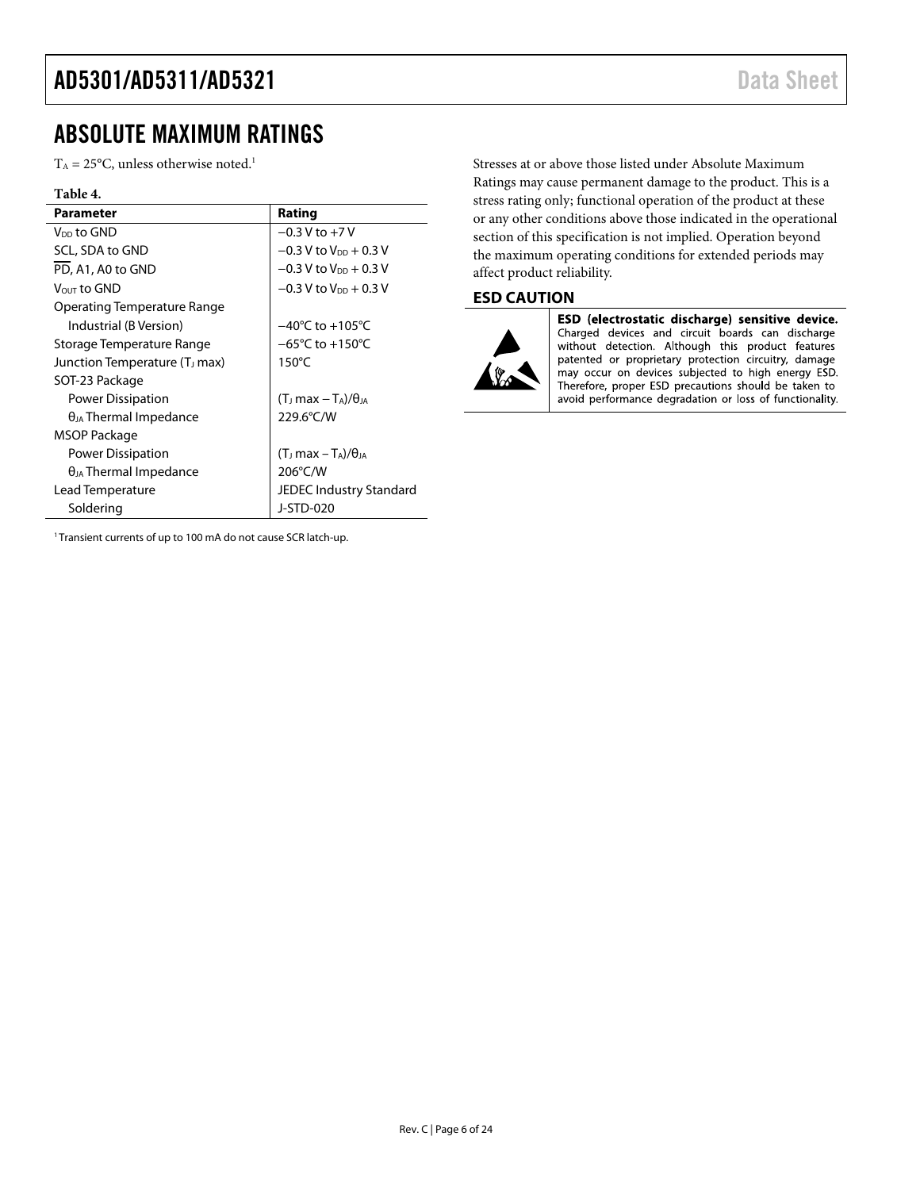# <span id="page-5-0"></span>ABSOLUTE MAXIMUM RATINGS

 $T_A = 25$ °C, unless otherwise noted.<sup>1</sup>

#### **Table 4.**

| <b>Parameter</b>                          | Rating                               |
|-------------------------------------------|--------------------------------------|
| V <sub>DD</sub> to GND                    | $-0.3 V$ to $+7V$                    |
| SCL, SDA to GND                           | $-0.3$ V to V <sub>DD</sub> + 0.3 V  |
| PD, A1, A0 to GND                         | $-0.3$ V to $V_{DD}$ + 0.3 V         |
| Vout to GND                               | $-0.3$ V to V <sub>DD</sub> + 0.3 V  |
| Operating Temperature Range               |                                      |
| Industrial (B Version)                    | $-40^{\circ}$ C to $+105^{\circ}$ C  |
| Storage Temperature Range                 | $-65^{\circ}$ C to $+150^{\circ}$ C  |
| Junction Temperature (T <sub>J</sub> max) | $150^{\circ}$ C                      |
| SOT-23 Package                            |                                      |
| <b>Power Dissipation</b>                  | $(T_J max - T_A)/\theta_{JA}$        |
| $\theta_{JA}$ Thermal Impedance           | 229.6°C/W                            |
| MSOP Package                              |                                      |
| Power Dissipation                         | $(T_J \text{max} - T_A)/\theta_{JA}$ |
| $\theta_{JA}$ Thermal Impedance           | 206°C/W                              |
| Lead Temperature                          | <b>JEDEC Industry Standard</b>       |
| Soldering                                 | J-STD-020                            |

Stresses at or above those listed under Absolute Maximum Ratings may cause permanent damage to the product. This is a stress rating only; functional operation of the product at these or any other conditions above those indicated in the operational section of this specification is not implied. Operation beyond the maximum operating conditions for extended periods may affect product reliability.

### <span id="page-5-1"></span>**ESD CAUTION**



ESD (electrostatic discharge) sensitive device. Charged devices and circuit boards can discharge without detection. Although this product features patented or proprietary protection circuitry, damage may occur on devices subjected to high energy ESD. Therefore, proper ESD precautions should be taken to avoid performance degradation or loss of functionality.

<sup>1</sup> Transient currents of up to 100 mA do not cause SCR latch-up.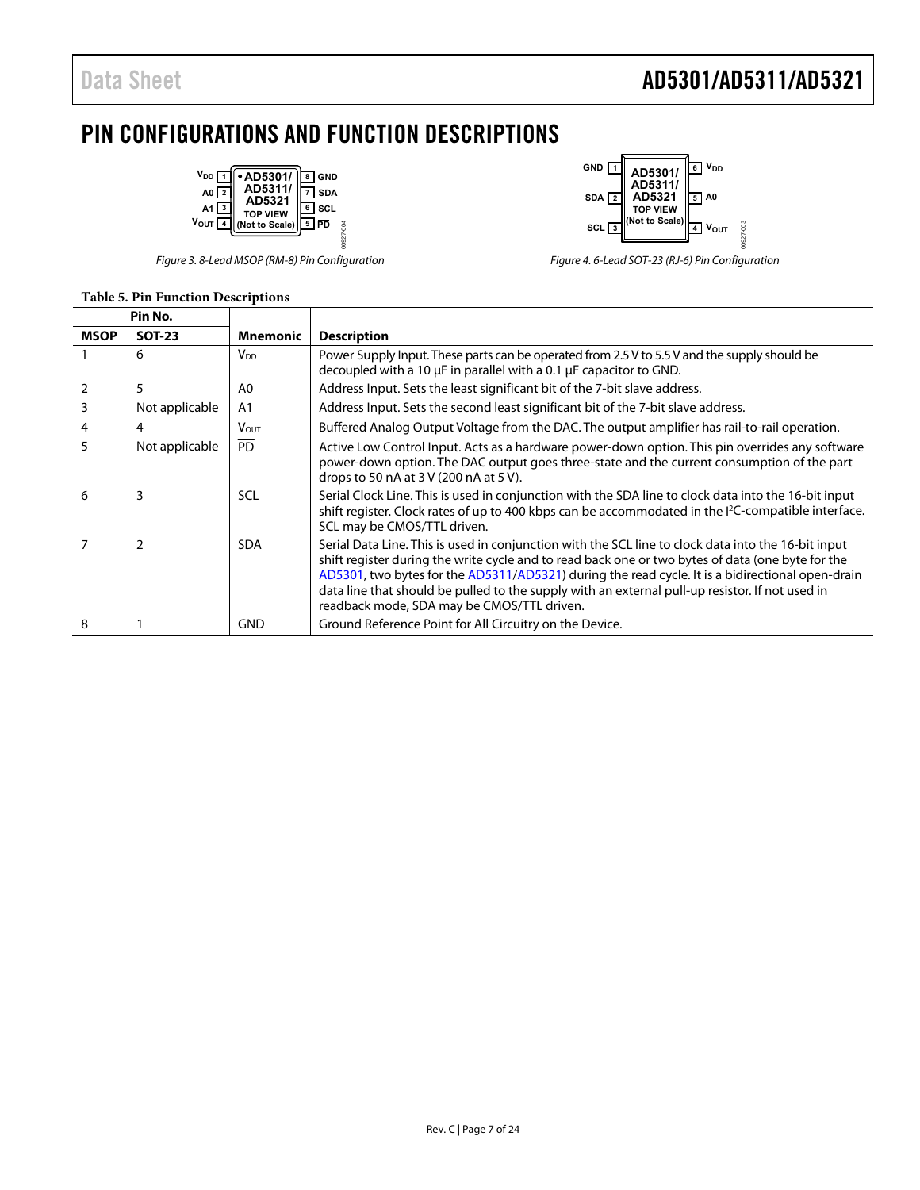# Data Sheet **AD5301/AD5311/AD5321**

# <span id="page-6-0"></span>PIN CONFIGURATIONS AND FUNCTION DESCRIPTIONS



#### **Table 5. Pin Function Descriptions**



Figure 3. 8-Lead MSOP (RM-8) Pin Configuration Figure 4. 6-Lead SOT-23 (RJ-6) Pin Configuration

|             | Pin No.        |                        |                                                                                                                                                                                                                                                                                                                                                                                                                                                               |
|-------------|----------------|------------------------|---------------------------------------------------------------------------------------------------------------------------------------------------------------------------------------------------------------------------------------------------------------------------------------------------------------------------------------------------------------------------------------------------------------------------------------------------------------|
| <b>MSOP</b> | <b>SOT-23</b>  | <b>Mnemonic</b>        | <b>Description</b>                                                                                                                                                                                                                                                                                                                                                                                                                                            |
|             | 6              | <b>V</b> <sub>DD</sub> | Power Supply Input. These parts can be operated from 2.5 V to 5.5 V and the supply should be<br>decoupled with a 10 µF in parallel with a 0.1 µF capacitor to GND.                                                                                                                                                                                                                                                                                            |
| 2           | 5              | A0                     | Address Input. Sets the least significant bit of the 7-bit slave address.                                                                                                                                                                                                                                                                                                                                                                                     |
| 3           | Not applicable | A <sub>1</sub>         | Address Input. Sets the second least significant bit of the 7-bit slave address.                                                                                                                                                                                                                                                                                                                                                                              |
| 4           | 4              | <b>VOUT</b>            | Buffered Analog Output Voltage from the DAC. The output amplifier has rail-to-rail operation.                                                                                                                                                                                                                                                                                                                                                                 |
|             | Not applicable | <b>PD</b>              | Active Low Control Input. Acts as a hardware power-down option. This pin overrides any software<br>power-down option. The DAC output goes three-state and the current consumption of the part<br>drops to 50 nA at 3 V (200 nA at 5 V).                                                                                                                                                                                                                       |
| 6           | 3              | SCL                    | Serial Clock Line. This is used in conjunction with the SDA line to clock data into the 16-bit input<br>shift register. Clock rates of up to 400 kbps can be accommodated in the I <sup>2</sup> C-compatible interface.<br>SCL may be CMOS/TTL driven.                                                                                                                                                                                                        |
|             | 2              | <b>SDA</b>             | Serial Data Line. This is used in conjunction with the SCL line to clock data into the 16-bit input<br>shift register during the write cycle and to read back one or two bytes of data (one byte for the<br>AD5301, two bytes for the AD5311/AD5321) during the read cycle. It is a bidirectional open-drain<br>data line that should be pulled to the supply with an external pull-up resistor. If not used in<br>readback mode, SDA may be CMOS/TTL driven. |
| 8           |                | <b>GND</b>             | Ground Reference Point for All Circuitry on the Device.                                                                                                                                                                                                                                                                                                                                                                                                       |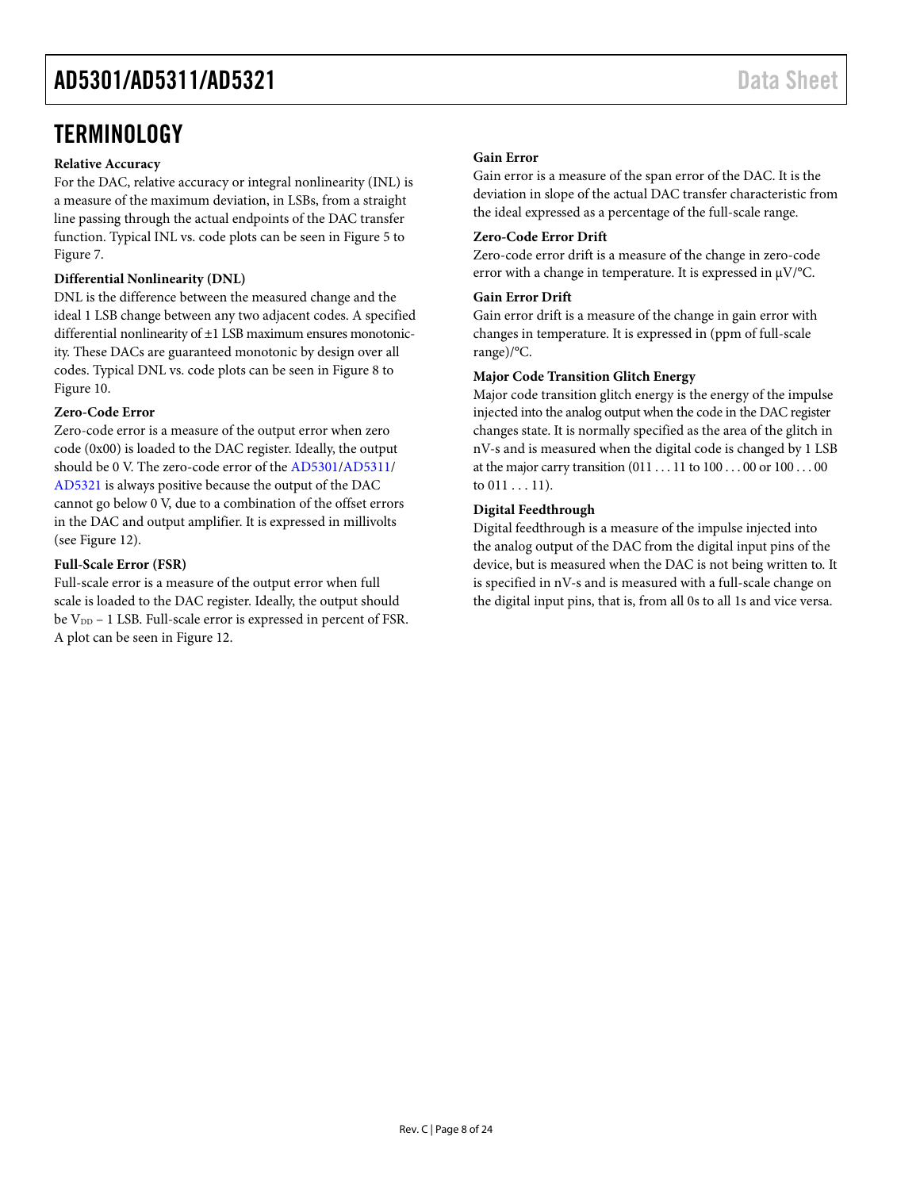# <span id="page-7-0"></span>**TERMINOLOGY**

#### **Relative Accuracy**

For the DAC, relative accuracy or integral nonlinearity (INL) is a measure of the maximum deviation, in LSBs, from a straight line passing through the actual endpoints of the DAC transfer function. Typical INL vs. code plots can be seen i[n Figure 5 t](#page-8-1)o [Figure 7.](#page-8-2)

### **Differential Nonlinearity (DNL)**

DNL is the difference between the measured change and the ideal 1 LSB change between any two adjacent codes. A specified differential nonlinearity of ±1 LSB maximum ensures monotonicity. These DACs are guaranteed monotonic by design over all codes. Typical DNL vs. code plots can be seen i[n Figure 8 t](#page-8-3)o [Figure 10.](#page-8-4) 

### **Zero-Code Error**

Zero-code error is a measure of the output error when zero code (0x00) is loaded to the DAC register. Ideally, the output should be 0 V. The zero-code error of th[e AD5301/](http://www.analog.com/AD5301?doc=AD5301_5311_5321.pdf)[AD5311/](http://www.analog.com/AD5311?doc=AD5301_5311_5321.pdf) [AD5321 i](http://www.analog.com/AD5321?doc=AD5301_5311_5321.pdf)s always positive because the output of the DAC cannot go below 0 V, due to a combination of the offset errors in the DAC and output amplifier. It is expressed in millivolts (see [Figure 12\)](#page-9-0).

#### **Full-Scale Error (FSR)**

Full-scale error is a measure of the output error when full scale is loaded to the DAC register. Ideally, the output should be V<sub>DD</sub> - 1 LSB. Full-scale error is expressed in percent of FSR. A plot can be seen i[n Figure 12.](#page-9-0)

#### **Gain Error**

Gain error is a measure of the span error of the DAC. It is the deviation in slope of the actual DAC transfer characteristic from the ideal expressed as a percentage of the full-scale range.

#### **Zero-Code Error Drift**

Zero-code error drift is a measure of the change in zero-code error with a change in temperature. It is expressed in μV/°C.

#### **Gain Error Drift**

Gain error drift is a measure of the change in gain error with changes in temperature. It is expressed in (ppm of full-scale range)/°C.

#### **Major Code Transition Glitch Energy**

Major code transition glitch energy is the energy of the impulse injected into the analog output when the code in the DAC register changes state. It is normally specified as the area of the glitch in nV-s and is measured when the digital code is changed by 1 LSB at the major carry transition (011 . . . 11 to 100 . . . 00 or 100 . . . 00 to  $011...11$ ).

#### **Digital Feedthrough**

Digital feedthrough is a measure of the impulse injected into the analog output of the DAC from the digital input pins of the device, but is measured when the DAC is not being written to. It is specified in nV-s and is measured with a full-scale change on the digital input pins, that is, from all 0s to all 1s and vice versa.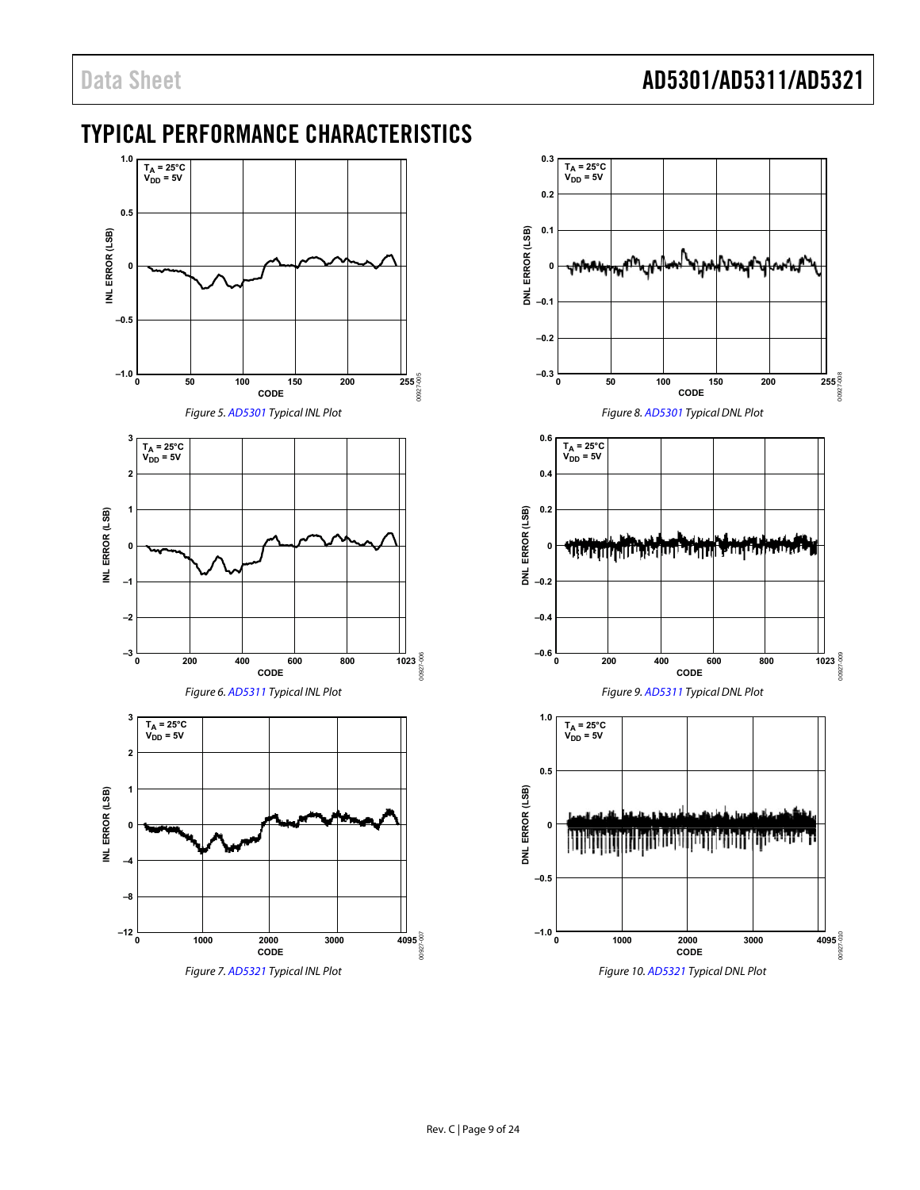# <span id="page-8-0"></span>TYPICAL PERFORMANCE CHARACTERISTICS

<span id="page-8-2"></span><span id="page-8-1"></span>

<span id="page-8-4"></span><span id="page-8-3"></span>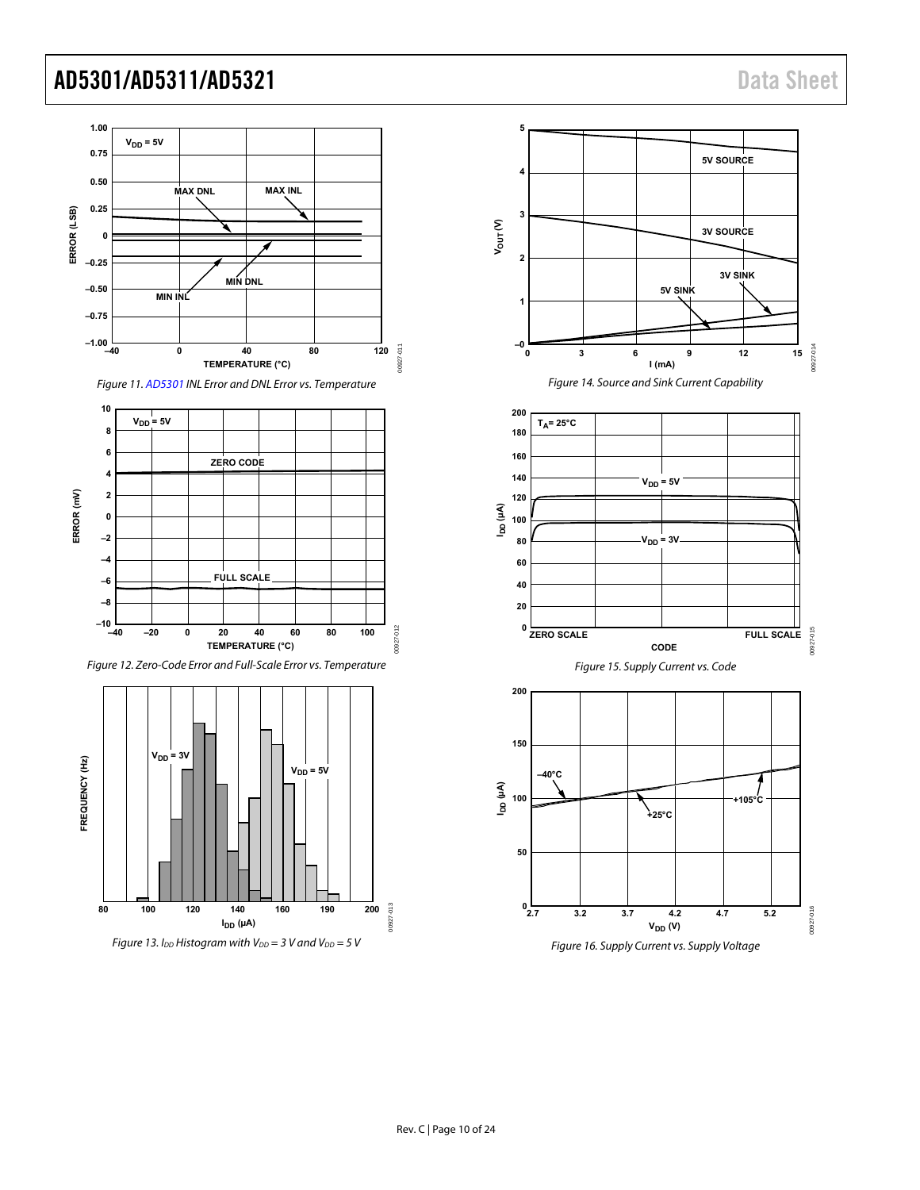<span id="page-9-1"></span><span id="page-9-0"></span>

Figure 16. Supply Current vs. Supply Voltage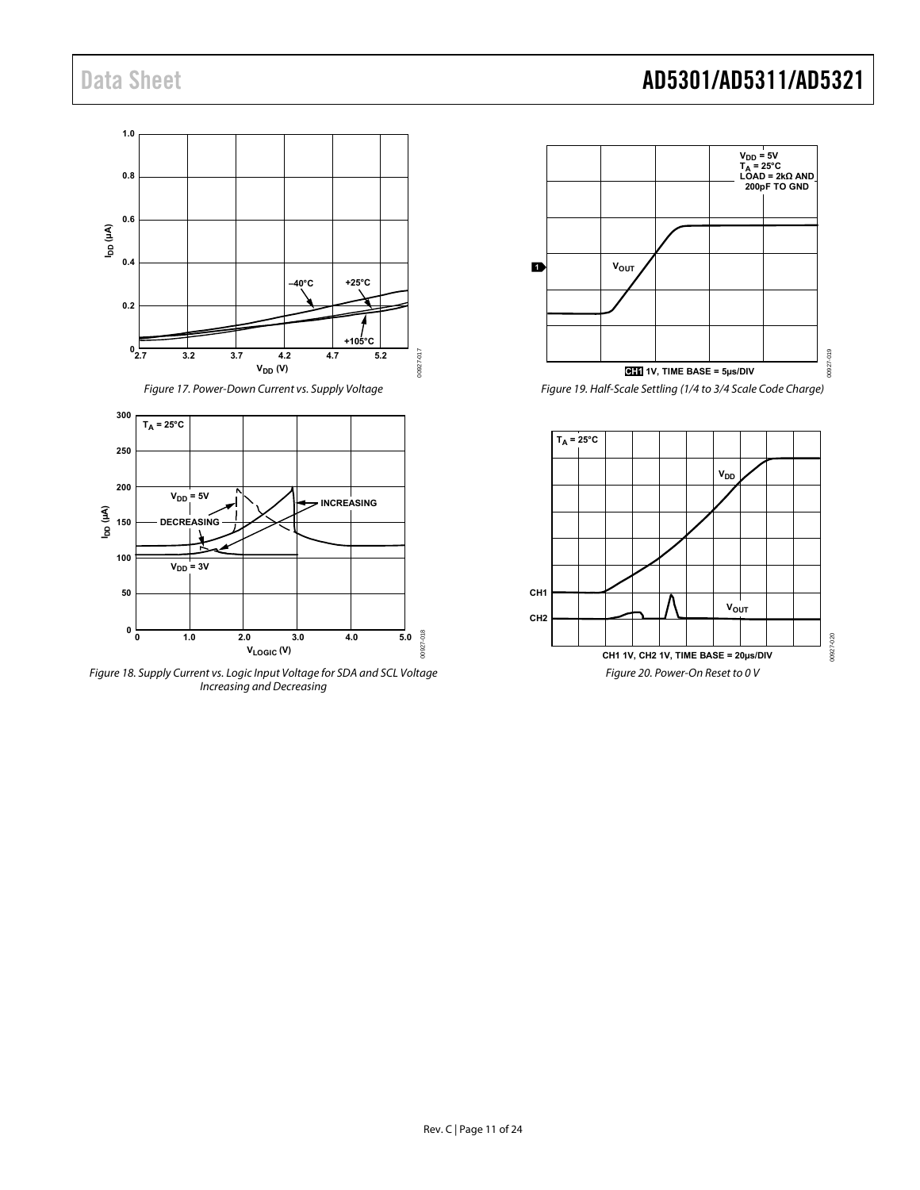



Figure 18. Supply Current vs. Logic Input Voltage for SDA and SCL Voltage Increasing and Decreasing

# Data Sheet **AD5301/AD5311/AD5321**



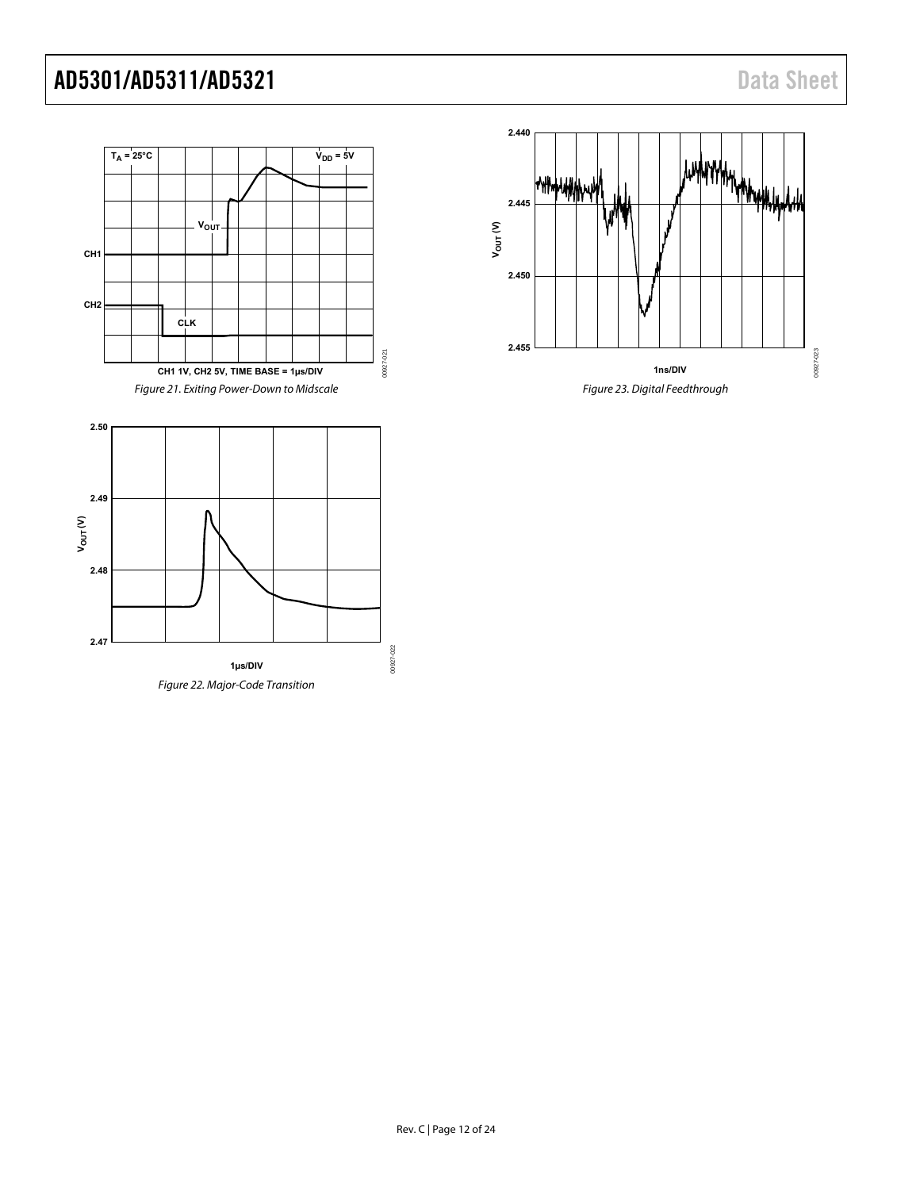<span id="page-11-0"></span>

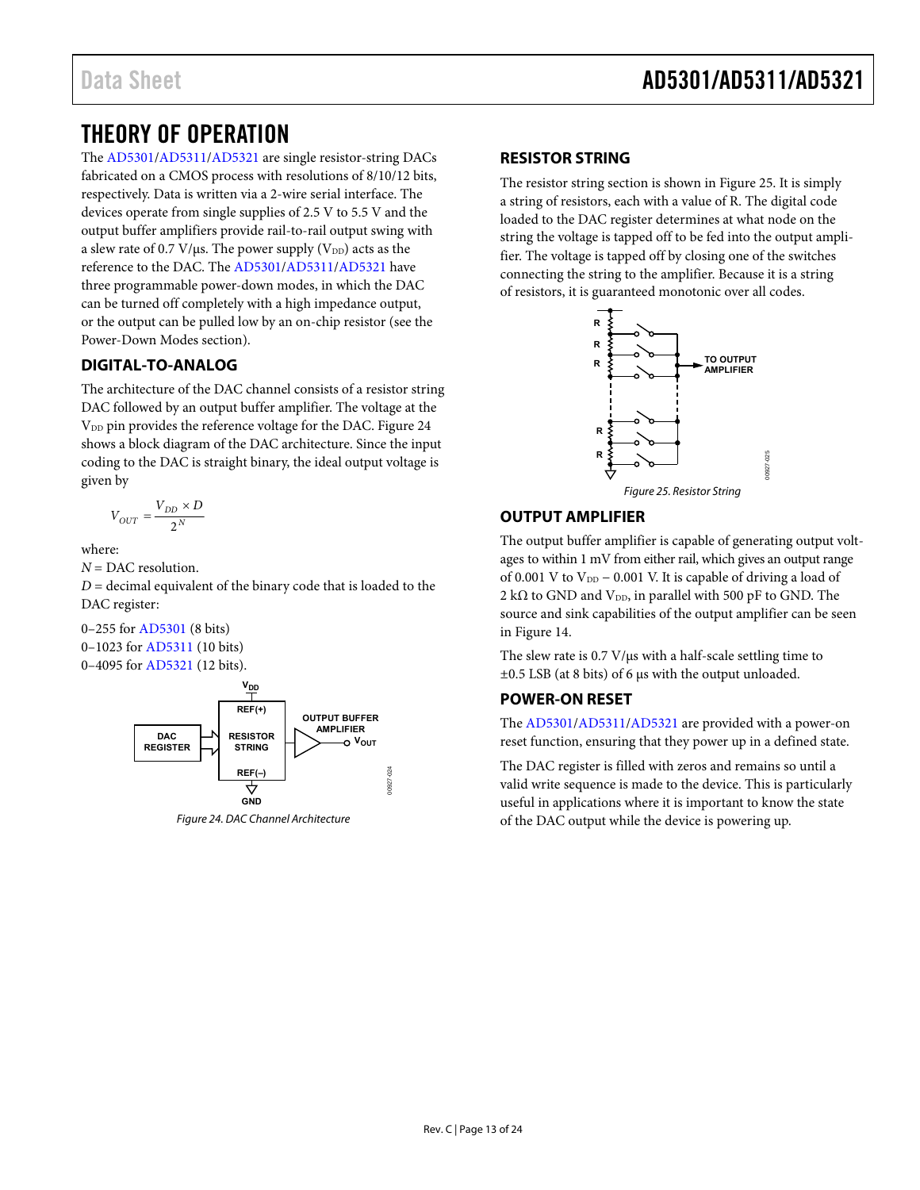# <span id="page-12-0"></span>THEORY OF OPERATION

The [AD5301/](http://www.analog.com/AD5301?doc=AD5301_5311_5321.pdf)[AD5311/](http://www.analog.com/AD5311?doc=AD5301_5311_5321.pdf)[AD5321 a](http://www.analog.com/AD5321?doc=AD5301_5311_5321.pdf)re single resistor-string DACs fabricated on a CMOS process with resolutions of 8/10/12 bits, respectively. Data is written via a 2-wire serial interface. The devices operate from single supplies of 2.5 V to 5.5 V and the output buffer amplifiers provide rail-to-rail output swing with a slew rate of 0.7 V/ $\mu$ s. The power supply (V<sub>DD</sub>) acts as the reference to the DAC. Th[e AD5301](http://www.analog.com/AD5301?doc=AD5301_5311_5321.pdf)[/AD5311/](http://www.analog.com/AD5311?doc=AD5301_5311_5321.pdf)[AD5321 h](http://www.analog.com/AD5321?doc=AD5301_5311_5321.pdf)ave three programmable power-down modes, in which the DAC can be turned off completely with a high impedance output, or the output can be pulled low by an on-chip resistor (see the [Power-Down Modes](#page-16-0) section).

### <span id="page-12-1"></span>**DIGITAL-TO-ANALOG**

The architecture of the DAC channel consists of a resistor string DAC followed by an output buffer amplifier. The voltage at the V<sub>DD</sub> pin provides the reference voltage for the DAC. Figure 24 shows a block diagram of the DAC architecture. Since the input coding to the DAC is straight binary, the ideal output voltage is given by

$$
V_{OUT}=\frac{V_{DD}\times D}{2^N}
$$

where:

*N* = DAC resolution.

 $D =$  decimal equivalent of the binary code that is loaded to the DAC register:

0–255 fo[r AD5301 \(](http://www.analog.com/AD5301?doc=AD5301_5311_5321.pdf)8 bits) 0–1023 for [AD5311 \(](http://www.analog.com/AD5311?doc=AD5301_5311_5321.pdf)10 bits) 0–4095 for [AD5321 \(](http://www.analog.com/AD5321?doc=AD5301_5311_5321.pdf)12 bits).



<span id="page-12-5"></span>

### <span id="page-12-2"></span>**RESISTOR STRING**

The resistor string section is shown in [Figure 25.](#page-12-6) It is simply a string of resistors, each with a value of R. The digital code loaded to the DAC register determines at what node on the string the voltage is tapped off to be fed into the output amplifier. The voltage is tapped off by closing one of the switches connecting the string to the amplifier. Because it is a string of resistors, it is guaranteed monotonic over all codes.



### <span id="page-12-6"></span><span id="page-12-3"></span>**OUTPUT AMPLIFIER**

The output buffer amplifier is capable of generating output voltages to within 1 mV from either rail, which gives an output range of 0.001 V to  $V_{DD}$  – 0.001 V. It is capable of driving a load of 2 k $\Omega$  to GND and V<sub>DD</sub>, in parallel with 500 pF to GND. The source and sink capabilities of the output amplifier can be seen in [Figure 14.](#page-9-1) 

The slew rate is 0.7 V/μs with a half-scale settling time to ±0.5 LSB (at 8 bits) of 6 μs with the output unloaded.

### <span id="page-12-4"></span>**POWER-ON RESET**

The [AD5301/](http://www.analog.com/AD5301?doc=AD5301_5311_5321.pdf)[AD5311/](http://www.analog.com/AD5311?doc=AD5301_5311_5321.pdf)[AD5321 a](http://www.analog.com/AD5321?doc=AD5301_5311_5321.pdf)re provided with a power-on reset function, ensuring that they power up in a defined state.

The DAC register is filled with zeros and remains so until a valid write sequence is made to the device. This is particularly useful in applications where it is important to know the state of the DAC output while the device is powering up.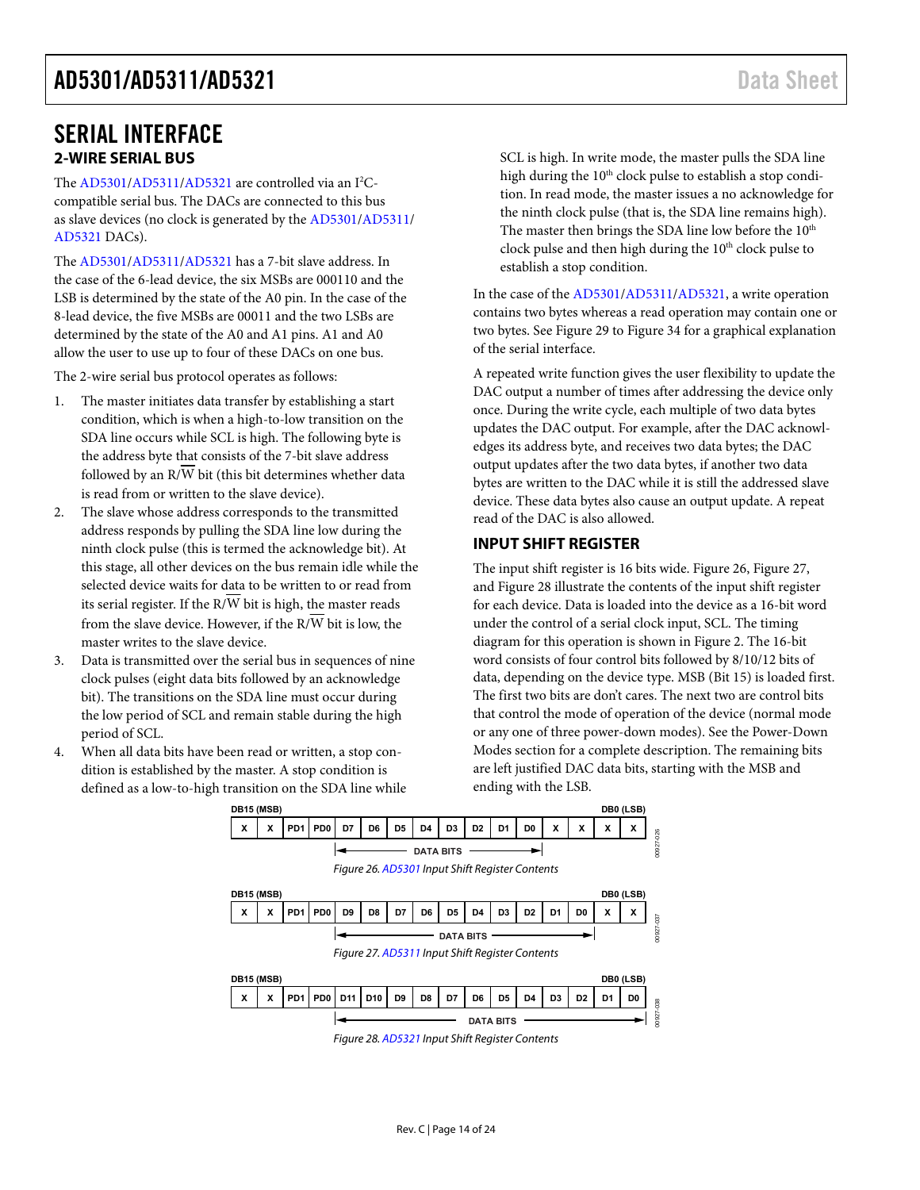## <span id="page-13-0"></span>SERIAL INTERFACE **2-WIRE SERIAL BUS**

<span id="page-13-1"></span>The [AD5301/](http://www.analog.com/AD5301?doc=AD5301_5311_5321.pdf)[AD5311/](http://www.analog.com/AD5311?doc=AD5301_5311_5321.pdf)[AD5321 a](http://www.analog.com/AD5321?doc=AD5301_5311_5321.pdf)re controlled via an I<sup>2</sup>Ccompatible serial bus. The DACs are connected to this bus as slave devices (no clock is generated by th[e AD5301](http://www.analog.com/AD5301?doc=AD5301_5311_5321.pdf)[/AD5311/](http://www.analog.com/AD5311?doc=AD5301_5311_5321.pdf) [AD5321 D](http://www.analog.com/AD5321?doc=AD5301_5311_5321.pdf)ACs).

The [AD5301/](http://www.analog.com/AD5301?doc=AD5301_5311_5321.pdf)[AD5311/](http://www.analog.com/AD5311?doc=AD5301_5311_5321.pdf)[AD5321 h](http://www.analog.com/AD5321?doc=AD5301_5311_5321.pdf)as a 7-bit slave address. In the case of the 6-lead device, the six MSBs are 000110 and the LSB is determined by the state of the A0 pin. In the case of the 8-lead device, the five MSBs are 00011 and the two LSBs are determined by the state of the A0 and A1 pins. A1 and A0 allow the user to use up to four of these DACs on one bus.

The 2-wire serial bus protocol operates as follows:

- 1. The master initiates data transfer by establishing a start condition, which is when a high-to-low transition on the SDA line occurs while SCL is high. The following byte is the address byte that consists of the 7-bit slave address followed by an  $R/\overline{W}$  bit (this bit determines whether data is read from or written to the slave device).
- 2. The slave whose address corresponds to the transmitted address responds by pulling the SDA line low during the ninth clock pulse (this is termed the acknowledge bit). At this stage, all other devices on the bus remain idle while the selected device waits for data to be written to or read from its serial register. If the  $R/\overline{W}$  bit is high, the master reads from the slave device. However, if the  $R/\overline{W}$  bit is low, the master writes to the slave device.
- 3. Data is transmitted over the serial bus in sequences of nine clock pulses (eight data bits followed by an acknowledge bit). The transitions on the SDA line must occur during the low period of SCL and remain stable during the high period of SCL.
- <span id="page-13-5"></span><span id="page-13-4"></span><span id="page-13-3"></span>4. When all data bits have been read or written, a stop condition is established by the master. A stop condition is defined as a low-to-high transition on the SDA line while

SCL is high. In write mode, the master pulls the SDA line high during the  $10<sup>th</sup>$  clock pulse to establish a stop condition. In read mode, the master issues a no acknowledge for the ninth clock pulse (that is, the SDA line remains high). The master then brings the SDA line low before the 10<sup>th</sup> clock pulse and then high during the 10<sup>th</sup> clock pulse to establish a stop condition.

In the case of th[e AD5301](http://www.analog.com/AD5301?doc=AD5301_5311_5321.pdf)[/AD5311](http://www.analog.com/AD5311?doc=AD5301_5311_5321.pdf)[/AD5321,](http://www.analog.com/AD5321?doc=AD5301_5311_5321.pdf) a write operation contains two bytes whereas a read operation may contain one or two bytes. See [Figure 29 t](#page-14-1)[o Figure 34](#page-15-1) for a graphical explanation of the serial interface.

A repeated write function gives the user flexibility to update the DAC output a number of times after addressing the device only once. During the write cycle, each multiple of two data bytes updates the DAC output. For example, after the DAC acknowledges its address byte, and receives two data bytes; the DAC output updates after the two data bytes, if another two data bytes are written to the DAC while it is still the addressed slave device. These data bytes also cause an output update. A repeat read of the DAC is also allowed.

### <span id="page-13-2"></span>**INPUT SHIFT REGISTER**

The input shift register is 16 bits wide[. Figure 26,](#page-13-3) [Figure 27,](#page-13-4) an[d Figure 28](#page-13-5) illustrate the contents of the input shift register for each device. Data is loaded into the device as a 16-bit word under the control of a serial clock input, SCL. The timing diagram for this operation is shown in [Figure 2.](#page-4-2) The 16-bit word consists of four control bits followed by 8/10/12 bits of data, depending on the device type. MSB (Bit 15) is loaded first. The first two bits are don't cares. The next two are control bits that control the mode of operation of the device (normal mode or any one of three power-down modes). See the [Power-Down](#page-16-0)  [Modes s](#page-16-0)ection for a complete description. The remaining bits are left justified DAC data bits, starting with the MSB and ending with the LSB.

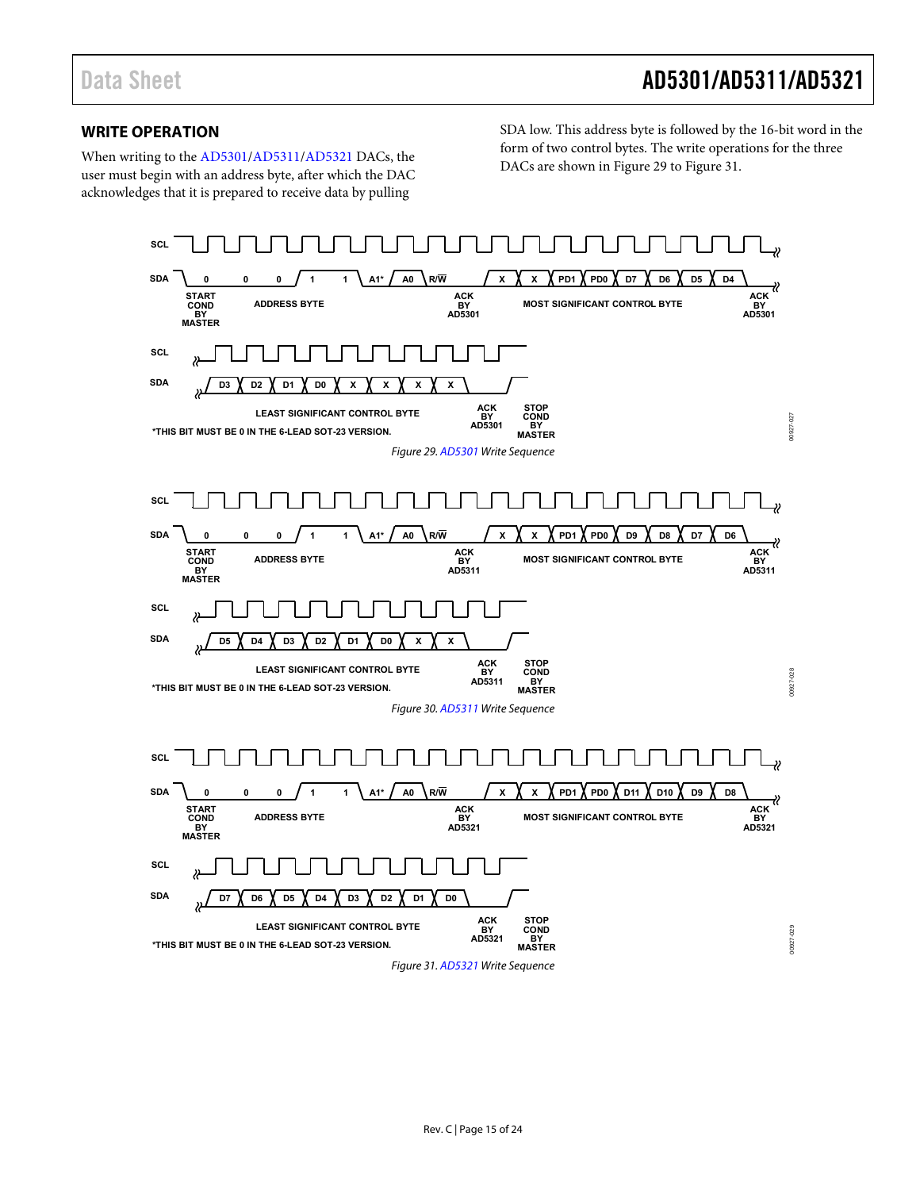### <span id="page-14-0"></span>**WRITE OPERATION**

When writing to th[e AD5301](http://www.analog.com/AD5301?doc=AD5301_5311_5321.pdf)[/AD5311](http://www.analog.com/AD5311?doc=AD5301_5311_5321.pdf)[/AD5321](http://www.analog.com/AD5321?doc=AD5301_5311_5321.pdf) DACs, the user must begin with an address byte, after which the DAC acknowledges that it is prepared to receive data by pulling

SDA low. This address byte is followed by the 16-bit word in the form of two control bytes. The write operations for the three DACs are shown i[n Figure 29](#page-14-1) to [Figure 31.](#page-14-2) 

<span id="page-14-2"></span><span id="page-14-1"></span>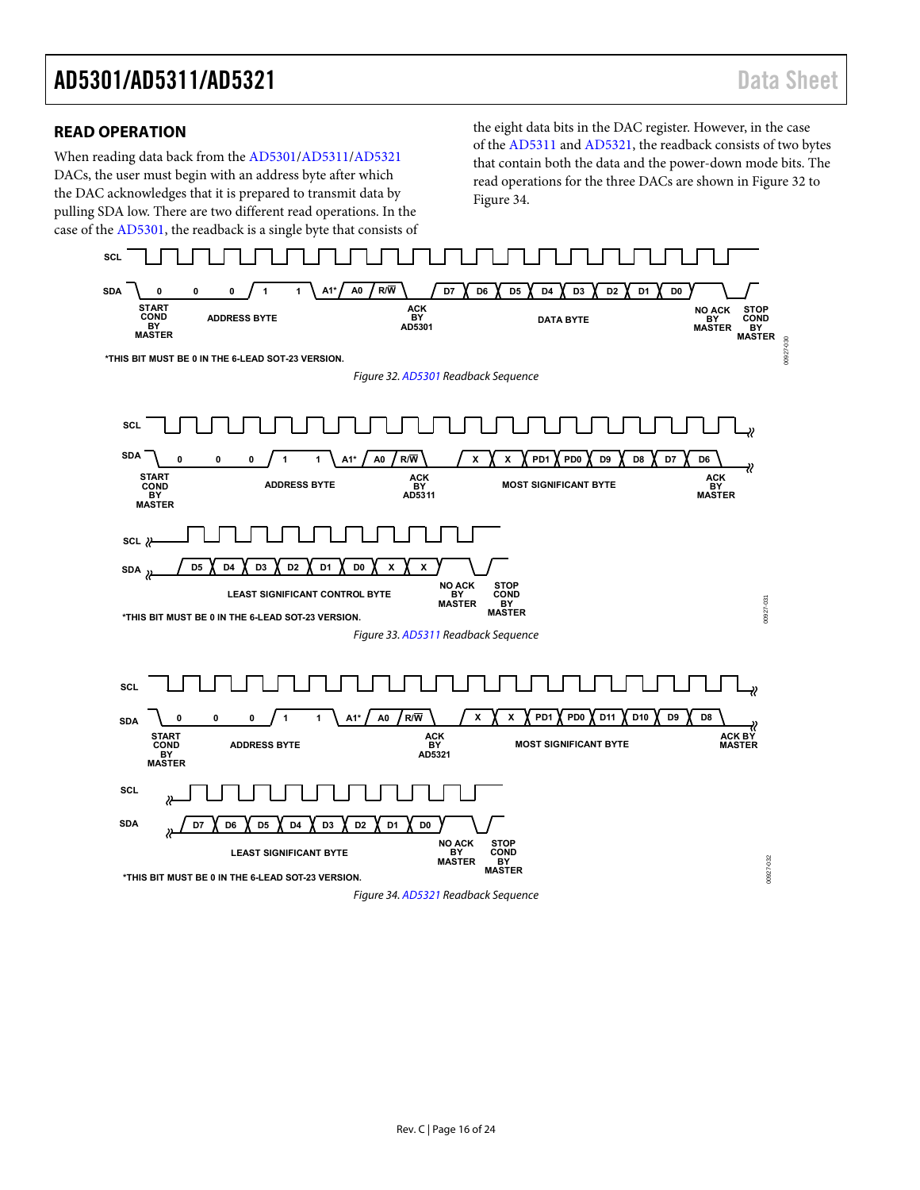### <span id="page-15-0"></span>**READ OPERATION**

When reading data back from the [AD5301](http://www.analog.com/AD5301?doc=AD5301_5311_5321.pdf)[/AD5311](http://www.analog.com/AD5311?doc=AD5301_5311_5321.pdf)[/AD5321](http://www.analog.com/AD5321?doc=AD5301_5311_5321.pdf) DACs, the user must begin with an address byte after which the DAC acknowledges that it is prepared to transmit data by pulling SDA low. There are two different read operations. In the case of the [AD5301,](http://www.analog.com/AD5301?doc=AD5301_5311_5321.pdf) the readback is a single byte that consists of the eight data bits in the DAC register. However, in the case of the [AD5311 a](http://www.analog.com/AD5311?doc=AD5301_5311_5321.pdf)n[d AD5321,](http://www.analog.com/AD5321?doc=AD5301_5311_5321.pdf) the readback consists of two bytes that contain both the data and the power-down mode bits. The read operations for the three DACs are shown i[n Figure 32 t](#page-15-2)o [Figure 34.](#page-15-1) 

<span id="page-15-2"></span><span id="page-15-1"></span>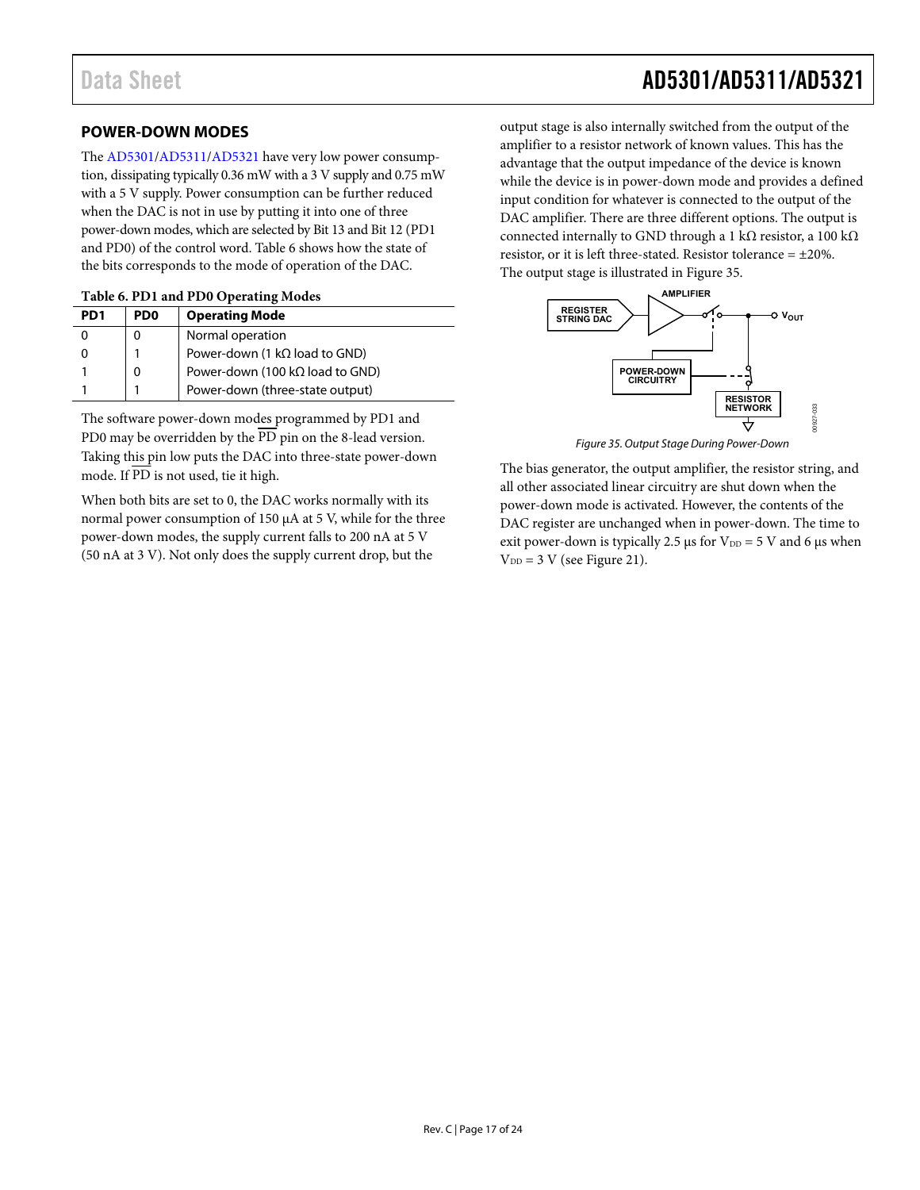### <span id="page-16-0"></span>**POWER-DOWN MODES**

The [AD5301/](http://www.analog.com/AD5301?doc=AD5301_5311_5321.pdf)[AD5311/](http://www.analog.com/AD5311?doc=AD5301_5311_5321.pdf)[AD5321 h](http://www.analog.com/AD5321?doc=AD5301_5311_5321.pdf)ave very low power consumption, dissipating typically 0.36 mW with a 3 V supply and 0.75 mW with a 5 V supply. Power consumption can be further reduced when the DAC is not in use by putting it into one of three power-down modes, which are selected by Bit 13 and Bit 12 (PD1 and PD0) of the control word. [Table 6 s](#page-16-1)hows how the state of the bits corresponds to the mode of operation of the DAC.

<span id="page-16-1"></span>

| PD <sub>1</sub> | P <sub>D</sub> <sub>0</sub> | <b>Operating Mode</b>                   |
|-----------------|-----------------------------|-----------------------------------------|
|                 |                             | Normal operation                        |
|                 |                             | Power-down (1 $k\Omega$ load to GND)    |
|                 |                             | Power-down (100 k $\Omega$ load to GND) |
|                 |                             | Power-down (three-state output)         |

The software power-down modes programmed by PD1 and PD0 may be overridden by the  $\overline{PD}$  pin on the 8-lead version. Taking this pin low puts the DAC into three-state power-down mode. If  $\overline{PD}$  is not used, tie it high.

When both bits are set to 0, the DAC works normally with its normal power consumption of 150 μA at 5 V, while for the three power-down modes, the supply current falls to 200 nA at 5 V (50 nA at 3 V). Not only does the supply current drop, but the

00927-033

00927-033

output stage is also internally switched from the output of the amplifier to a resistor network of known values. This has the advantage that the output impedance of the device is known while the device is in power-down mode and provides a defined input condition for whatever is connected to the output of the DAC amplifier. There are three different options. The output is connected internally to GND through a 1 kΩ resistor, a 100 kΩ resistor, or it is left three-stated. Resistor tolerance  $= \pm 20\%$ . The output stage is illustrated in [Figure 35.](#page-16-2) 



Figure 35. Output Stage During Power-Down

<span id="page-16-2"></span>The bias generator, the output amplifier, the resistor string, and all other associated linear circuitry are shut down when the power-down mode is activated. However, the contents of the DAC register are unchanged when in power-down. The time to exit power-down is typically 2.5 μs for  $V_{DD} = 5$  V and 6 μs when  $V_{DD} = 3$  V (se[e Figure 21\)](#page-11-0).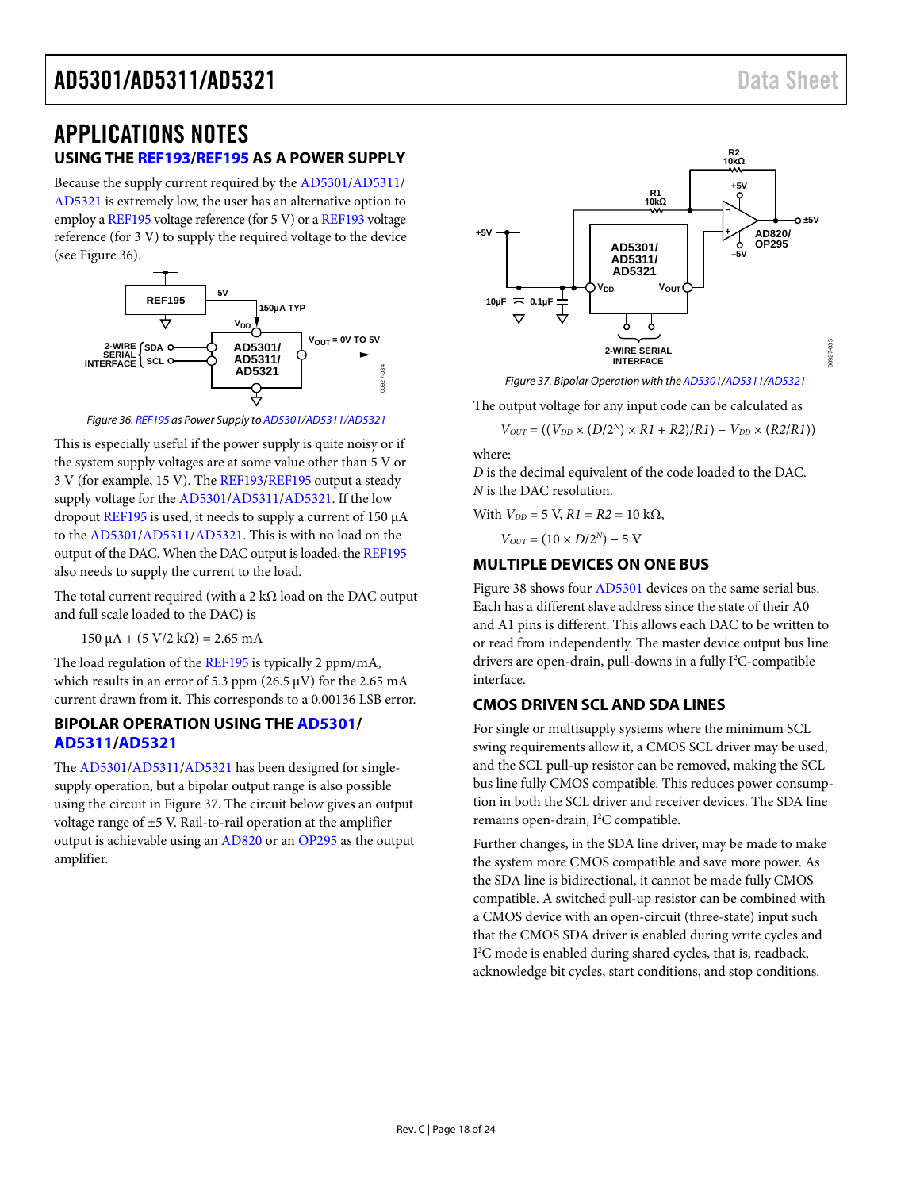# <span id="page-17-0"></span>APPLICATIONS NOTES

### <span id="page-17-1"></span>**USING TH[E REF193](http://www.analog.com/REF193?doc=AD5301_5311_5321.pdf)[/REF195](http://www.analog.com/REF195?doc=AD5301_5311_5321.pdf) AS A POWER SUPPLY**

Because the supply current required by the [AD5301/](http://www.analog.com/AD5301?doc=AD5301_5311_5321.pdf)[AD5311/](http://www.analog.com/AD5311?doc=AD5301_5311_5321.pdf) [AD5321](http://www.analog.com/AD5321?doc=AD5301_5311_5321.pdf) is extremely low, the user has an alternative option to employ [a REF195](http://www.analog.com/REF195?doc=AD5301_5311_5321.pdf) voltage reference (for 5 V) or [a REF193](http://www.analog.com/REF193?doc=AD5301_5311_5321.pdf) voltage reference (for 3 V) to supply the required voltage to the device (see [Figure 36\)](#page-17-5).



*Figure 36[. REF195](http://www.analog.com/REF195?doc=AD5301_5311_5321.pdf) as Power Supply t[o AD5301](http://www.analog.com/AD5301?doc=AD5301_5311_5321.pdf)[/AD5311](http://www.analog.com/AD5311?doc=AD5301_5311_5321.pdf)[/AD5321](http://www.analog.com/AD5321?doc=AD5301_5311_5321.pdf)*

<span id="page-17-5"></span>This is especially useful if the power supply is quite noisy or if the system supply voltages are at some value other than 5 V or 3 V (for example, 15 V). Th[e REF193/](http://www.analog.com/REF193?doc=AD5301_5311_5321.pdf)[REF195](http://www.analog.com/REF195?doc=AD5301_5311_5321.pdf) output a steady supply voltage for th[e AD5301](http://www.analog.com/AD5301?doc=AD5301_5311_5321.pdf)[/AD5311](http://www.analog.com/AD5311?doc=AD5301_5311_5321.pdf)[/AD5321.](http://www.analog.com/AD5321?doc=AD5301_5311_5321.pdf) If the low dropout [REF195](http://www.analog.com/REF195?doc=AD5301_5311_5321.pdf) is used, it needs to supply a current of 150 μA to the [AD5301/](http://www.analog.com/AD5301?doc=AD5301_5311_5321.pdf)[AD5311/](http://www.analog.com/AD5311?doc=AD5301_5311_5321.pdf)[AD5321.](http://www.analog.com/AD5321?doc=AD5301_5311_5321.pdf) This is with no load on the output of the DAC. When the DAC output is loaded, th[e REF195](http://www.analog.com/REF195?doc=AD5301_5311_5321.pdf) also needs to supply the current to the load.

The total current required (with a 2 k $\Omega$  load on the DAC output and full scale loaded to the DAC) is

 $150 \mu A + (5 V/2 k\Omega) = 2.65 mA$ 

The load regulation of th[e REF195](http://www.analog.com/REF195?doc=AD5301_5311_5321.pdf) is typically 2 ppm/mA, which results in an error of 5.3 ppm (26.5  $\mu$ V) for the 2.65 mA current drawn from it. This corresponds to a 0.00136 LSB error.

### <span id="page-17-2"></span>**BIPOLAR OPERATION USING THE [AD5301/](http://www.analog.com/AD5301?doc=AD5301_5311_5321.pdf) [AD5311/](http://www.analog.com/AD5311?doc=AD5301_5311_5321.pdf)[AD5321](http://www.analog.com/AD5321?doc=AD5301_5311_5321.pdf)**

The [AD5301/](http://www.analog.com/AD5301?doc=AD5301_5311_5321.pdf)[AD5311/](http://www.analog.com/AD5311?doc=AD5301_5311_5321.pdf)[AD5321](http://www.analog.com/AD5321?doc=AD5301_5311_5321.pdf) has been designed for singlesupply operation, but a bipolar output range is also possible using the circuit i[n Figure 37.](#page-17-6) The circuit below gives an output voltage range of ±5 V. Rail-to-rail operation at the amplifier output is achievable using a[n AD820](http://www.analog.com/AD820?doc=AD5301_5311_5321.pdf) or a[n OP295](http://www.analog.com/OP295?doc=AD5301_5311_5321.pdf) as the output amplifier.



*Figure 37. Bipolar Operation with th[e AD5301/](http://www.analog.com/AD5301?doc=AD5301_5311_5321.pdf)[AD5311/](http://www.analog.com/AD5311?doc=AD5301_5311_5321.pdf)[AD5321](http://www.analog.com/AD5321?doc=AD5301_5311_5321.pdf)*

<span id="page-17-6"></span>The output voltage for any input code can be calculated as

$$
V_{OUT}=((V_{DD}\times(D/2^N)\times R1+R2)/R1)-V_{DD}\times(R2/R1))
$$

where:

*D* is the decimal equivalent of the code loaded to the DAC. *N* is the DAC resolution.

With  $V_{DD} = 5$  V,  $R1 = R2 = 10$  kΩ,

 $V_{OUT} = (10 \times D/2^N) - 5$  V

### <span id="page-17-3"></span>**MULTIPLE DEVICES ON ONE BUS**

[Figure 38](#page-18-1) shows fou[r AD5301](http://www.analog.com/AD5301?doc=AD5301_5311_5321.pdf) devices on the same serial bus. Each has a different slave address since the state of their A0 and A1 pins is different. This allows each DAC to be written to or read from independently. The master device output bus line drivers are open-drain, pull-downs in a fully I<sup>2</sup>C-compatible interface.

### <span id="page-17-4"></span>**CMOS DRIVEN SCL AND SDA LINES**

For single or multisupply systems where the minimum SCL swing requirements allow it, a CMOS SCL driver may be used, and the SCL pull-up resistor can be removed, making the SCL bus line fully CMOS compatible. This reduces power consumption in both the SCL driver and receiver devices. The SDA line remains open-drain, I<sup>2</sup>C compatible.

Further changes, in the SDA line driver, may be made to make the system more CMOS compatible and save more power. As the SDA line is bidirectional, it cannot be made fully CMOS compatible. A switched pull-up resistor can be combined with a CMOS device with an open-circuit (three-state) input such that the CMOS SDA driver is enabled during write cycles and I 2 C mode is enabled during shared cycles, that is, readback, acknowledge bit cycles, start conditions, and stop conditions.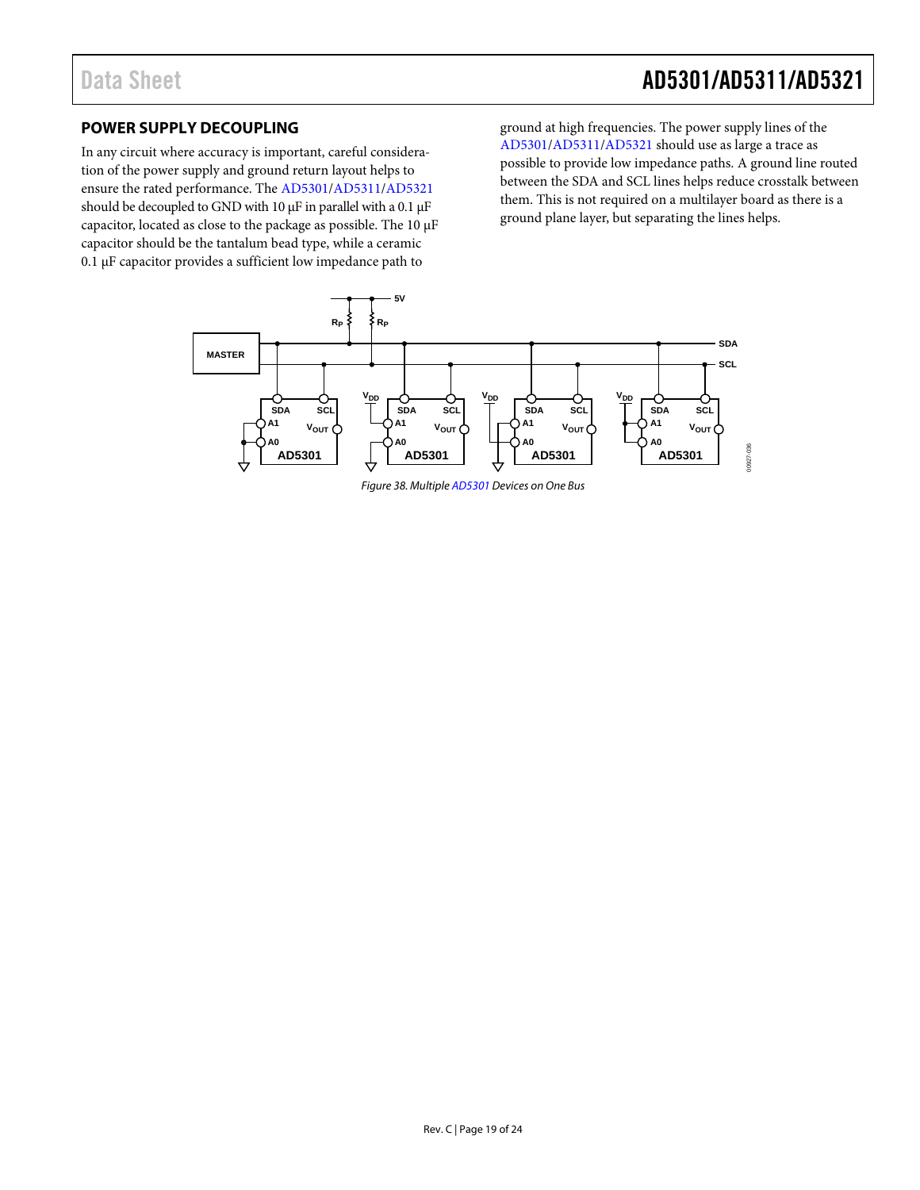# Data Sheet **AD5301/AD5311/AD5321**

### <span id="page-18-0"></span>**POWER SUPPLY DECOUPLING**

In any circuit where accuracy is important, careful consideration of the power supply and ground return layout helps to ensure the rated performance. The [AD5301/](http://www.analog.com/AD5301?doc=AD5301_5311_5321.pdf)[AD5311/](http://www.analog.com/AD5311?doc=AD5301_5311_5321.pdf)[AD5321](http://www.analog.com/AD5321?doc=AD5301_5311_5321.pdf) should be decoupled to GND with 10 μF in parallel with a 0.1 μF capacitor, located as close to the package as possible. The 10 μF capacitor should be the tantalum bead type, while a ceramic 0.1 μF capacitor provides a sufficient low impedance path to

ground at high frequencies. The power supply lines of the [AD5301/](http://www.analog.com/AD5301?doc=AD5301_5311_5321.pdf)[AD5311/](http://www.analog.com/AD5311?doc=AD5301_5311_5321.pdf)[AD5321](http://www.analog.com/AD5321?doc=AD5301_5311_5321.pdf) should use as large a trace as possible to provide low impedance paths. A ground line routed between the SDA and SCL lines helps reduce crosstalk between them. This is not required on a multilayer board as there is a ground plane layer, but separating the lines helps.

<span id="page-18-1"></span>

*Figure 38. Multipl[e AD5301](http://www.analog.com/AD5301?doc=AD5301_5311_5321.pdf) Devices on One Bus*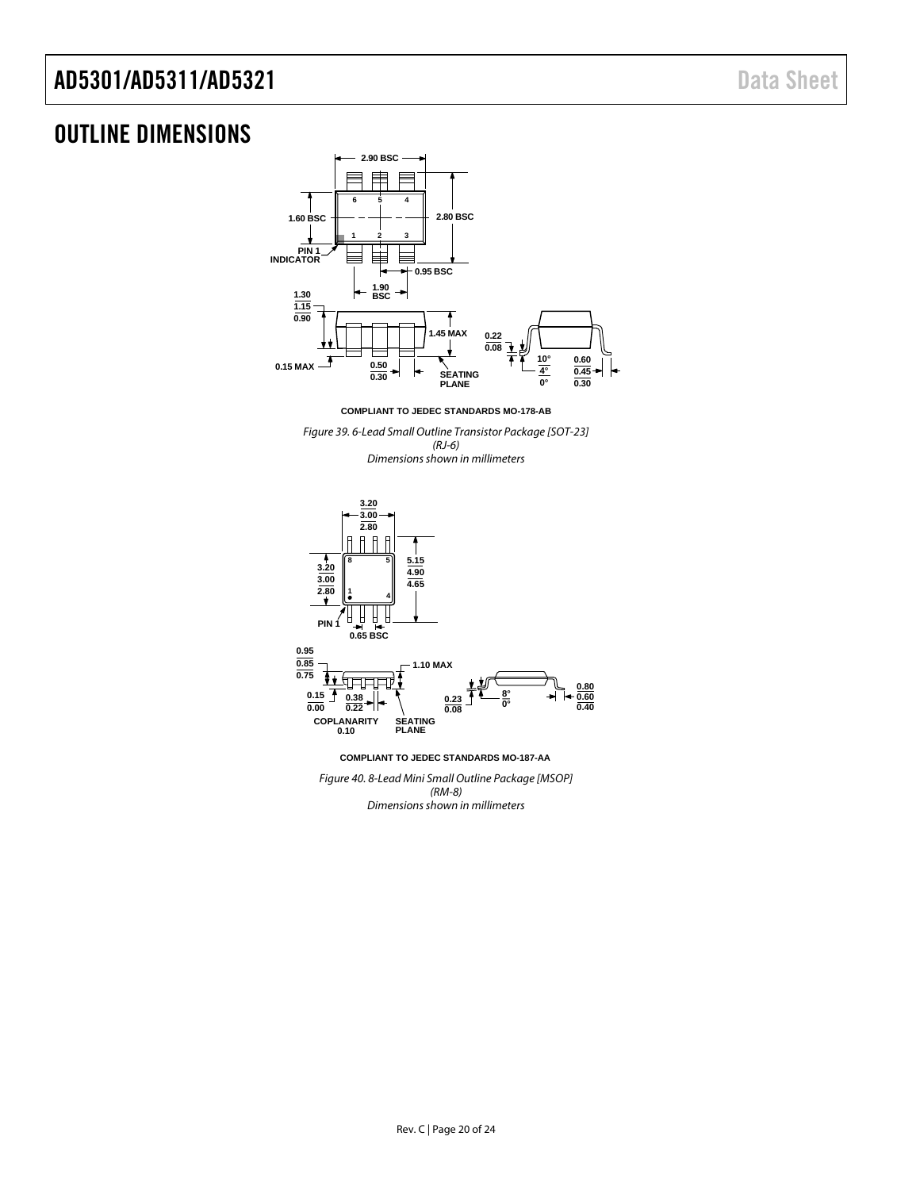# <span id="page-19-0"></span>OUTLINE DIMENSIONS



**COMPLIANT TO JEDEC STANDARDS MO-178-AB**

*Figure 39. 6-Lead Small Outline Transistor Package [SOT-23] (RJ-6) Dimensions shown in millimeters*



*Figure 40. 8-Lead Mini Small Outline Package [MSOP] (RM-8) Dimensions shown in millimeters*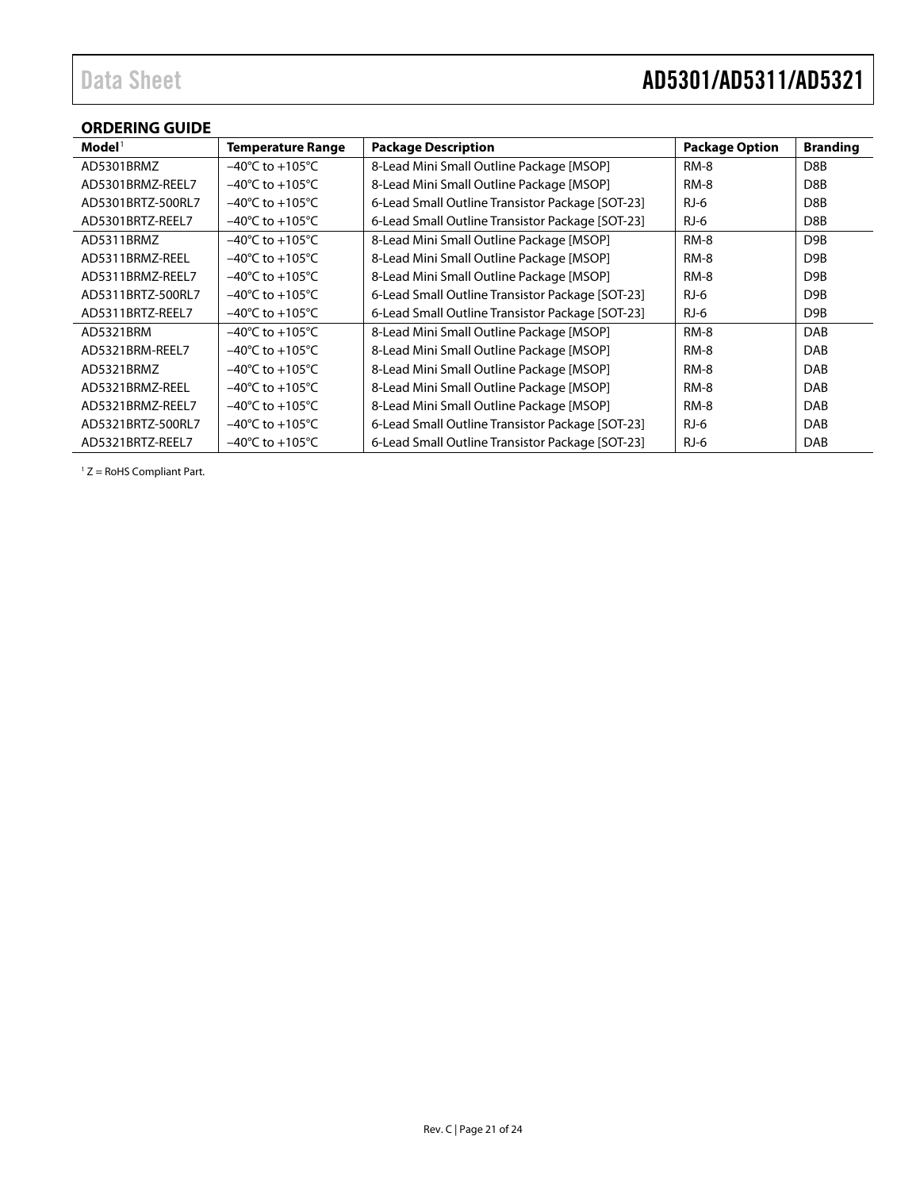### <span id="page-20-0"></span>**ORDERING GUIDE**

| $\mathbf{Model}^1$ | <b>Temperature Range</b>            | <b>Package Description</b>                       | <b>Package Option</b> | <b>Branding</b>  |
|--------------------|-------------------------------------|--------------------------------------------------|-----------------------|------------------|
| AD5301BRMZ         | $-40^{\circ}$ C to $+105^{\circ}$ C | 8-Lead Mini Small Outline Package [MSOP]         | RM-8                  | D <sub>8</sub> B |
| AD5301BRMZ-REEL7   | $-40^{\circ}$ C to $+105^{\circ}$ C | 8-Lead Mini Small Outline Package [MSOP]         | <b>RM-8</b>           | D8B              |
| AD5301BRTZ-500RL7  | $-40^{\circ}$ C to $+105^{\circ}$ C | 6-Lead Small Outline Transistor Package [SOT-23] | $RJ-6$                | D8B              |
| AD5301BRTZ-REEL7   | $-40^{\circ}$ C to $+105^{\circ}$ C | 6-Lead Small Outline Transistor Package [SOT-23] | $RJ-6$                | D8B              |
| AD5311BRMZ         | $-40^{\circ}$ C to $+105^{\circ}$ C | 8-Lead Mini Small Outline Package [MSOP]         | RM-8                  | D <sub>9</sub> B |
| AD5311BRMZ-REEL    | $-40^{\circ}$ C to $+105^{\circ}$ C | 8-Lead Mini Small Outline Package [MSOP]         | RM-8                  | D9B              |
| AD5311BRMZ-REEL7   | $-40^{\circ}$ C to $+105^{\circ}$ C | 8-Lead Mini Small Outline Package [MSOP]         | RM-8                  | D <sub>9</sub> B |
| AD5311BRTZ-500RL7  | $-40^{\circ}$ C to $+105^{\circ}$ C | 6-Lead Small Outline Transistor Package [SOT-23] | $RJ-6$                | D9B              |
| AD5311BRTZ-REEL7   | $-40^{\circ}$ C to $+105^{\circ}$ C | 6-Lead Small Outline Transistor Package [SOT-23] | $RJ-6$                | D <sub>9</sub> B |
| AD5321BRM          | $-40^{\circ}$ C to $+105^{\circ}$ C | 8-Lead Mini Small Outline Package [MSOP]         | RM-8                  | DAB              |
| AD5321BRM-REEL7    | $-40^{\circ}$ C to $+105^{\circ}$ C | 8-Lead Mini Small Outline Package [MSOP]         | RM-8                  | <b>DAB</b>       |
| AD5321BRMZ         | $-40^{\circ}$ C to $+105^{\circ}$ C | 8-Lead Mini Small Outline Package [MSOP]         | RM-8                  | DAB              |
| AD5321BRMZ-REEL    | $-40^{\circ}$ C to $+105^{\circ}$ C | 8-Lead Mini Small Outline Package [MSOP]         | RM-8                  | DAB              |
| AD5321BRMZ-REEL7   | $-40^{\circ}$ C to $+105^{\circ}$ C | 8-Lead Mini Small Outline Package [MSOP]         | RM-8                  | <b>DAB</b>       |
| AD5321BRTZ-500RL7  | $-40^{\circ}$ C to $+105^{\circ}$ C | 6-Lead Small Outline Transistor Package [SOT-23] | $RJ-6$                | <b>DAB</b>       |
| AD5321BRTZ-REEL7   | $-40^{\circ}$ C to $+105^{\circ}$ C | 6-Lead Small Outline Transistor Package [SOT-23] | $RJ-6$                | DAB              |

 $1 Z =$  RoHS Compliant Part.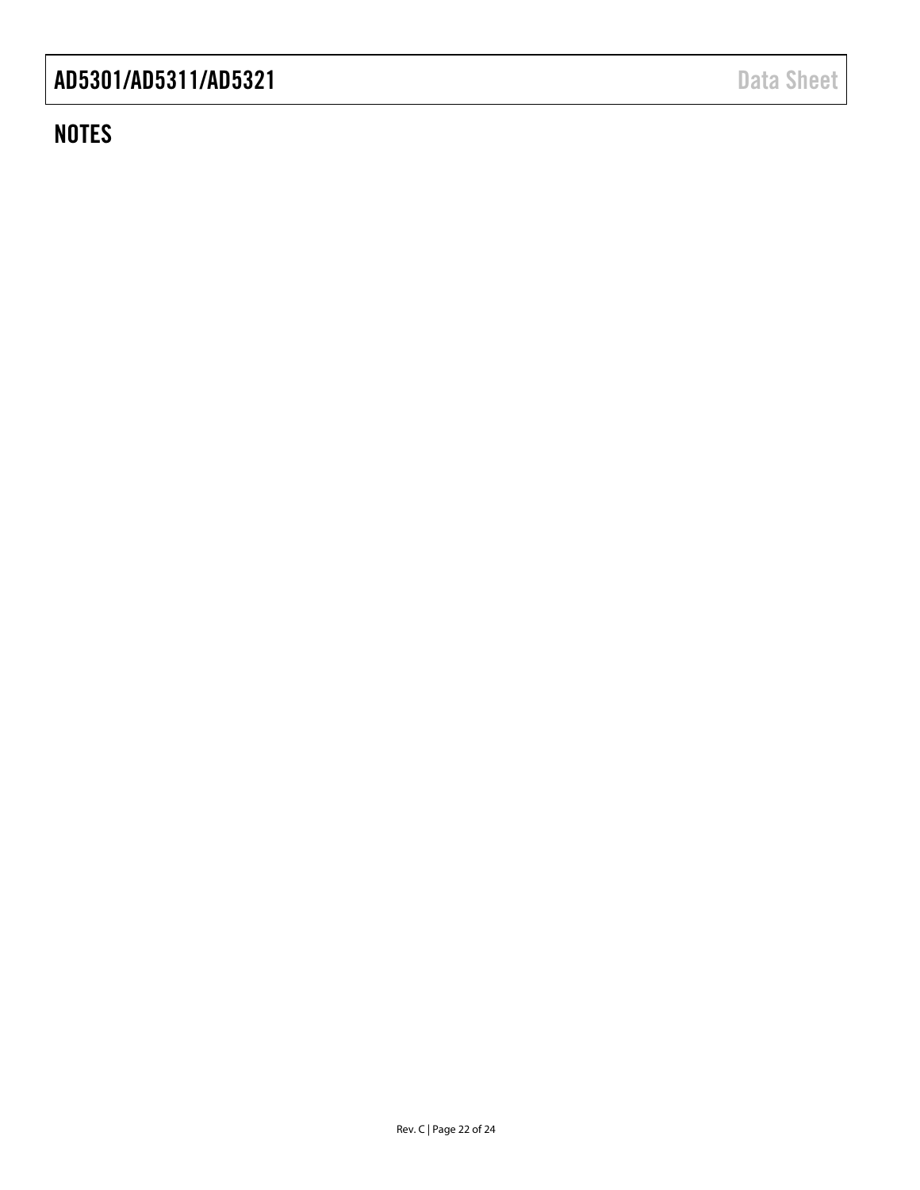# **NOTES**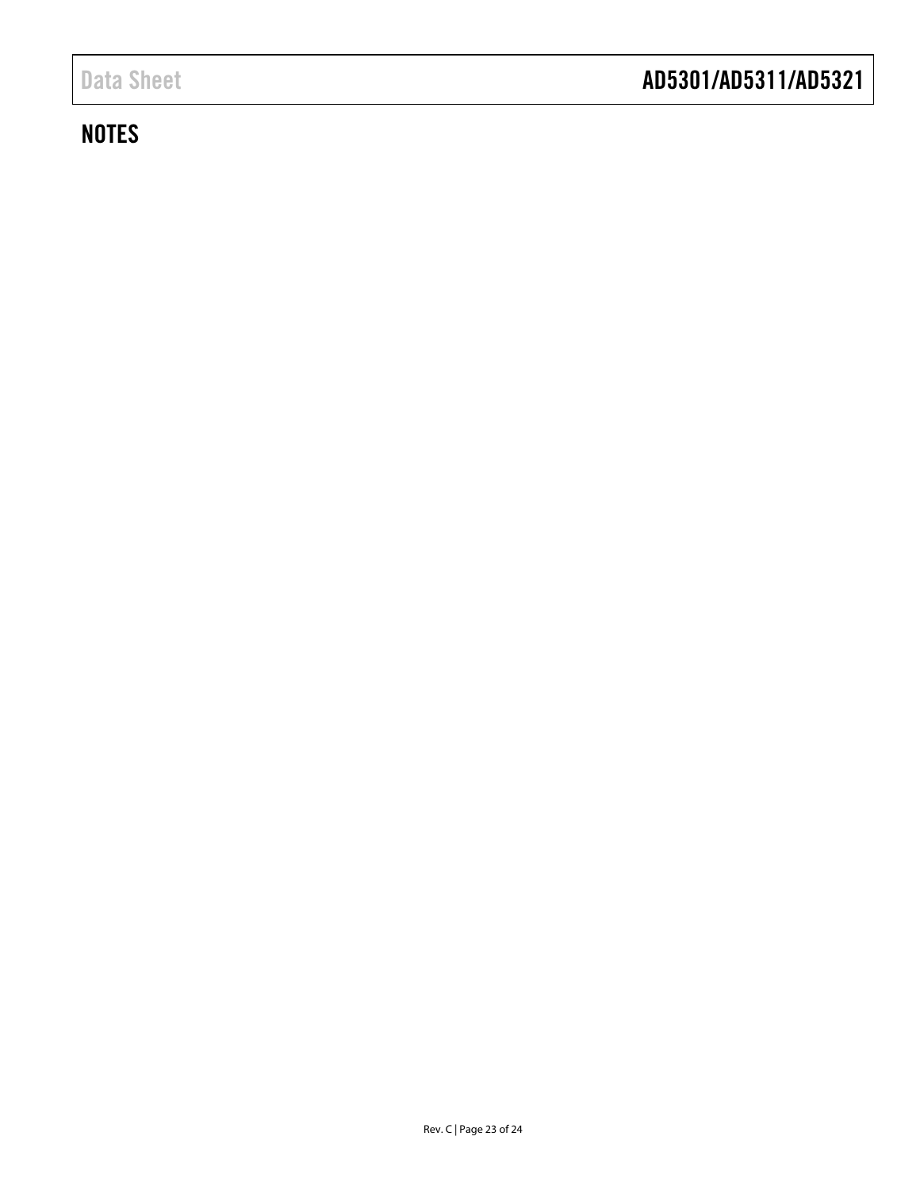# **NOTES**